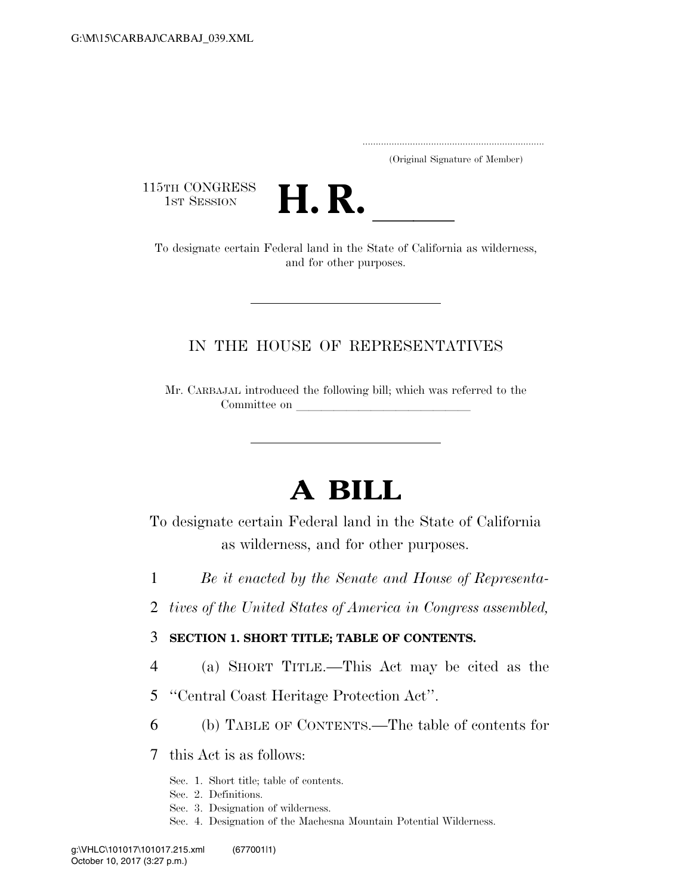..................................................................... (Original Signature of Member)

115TH CONGRESS<br>1st Session



1st Session **H. R. Letter State State of California** as wilderness, and for other purposes.

### IN THE HOUSE OF REPRESENTATIVES

Mr. CARBAJAL introduced the following bill; which was referred to the Committee on

# **A BILL**

To designate certain Federal land in the State of California as wilderness, and for other purposes.

- 1 *Be it enacted by the Senate and House of Representa-*
- 2 *tives of the United States of America in Congress assembled,*

### 3 **SECTION 1. SHORT TITLE; TABLE OF CONTENTS.**

- 4 (a) SHORT TITLE.—This Act may be cited as the
- 5 ''Central Coast Heritage Protection Act''.
- 6 (b) TABLE OF CONTENTS.—The table of contents for

7 this Act is as follows:

- Sec. 1. Short title; table of contents.
- Sec. 2. Definitions.
- Sec. 3. Designation of wilderness.
- Sec. 4. Designation of the Machesna Mountain Potential Wilderness.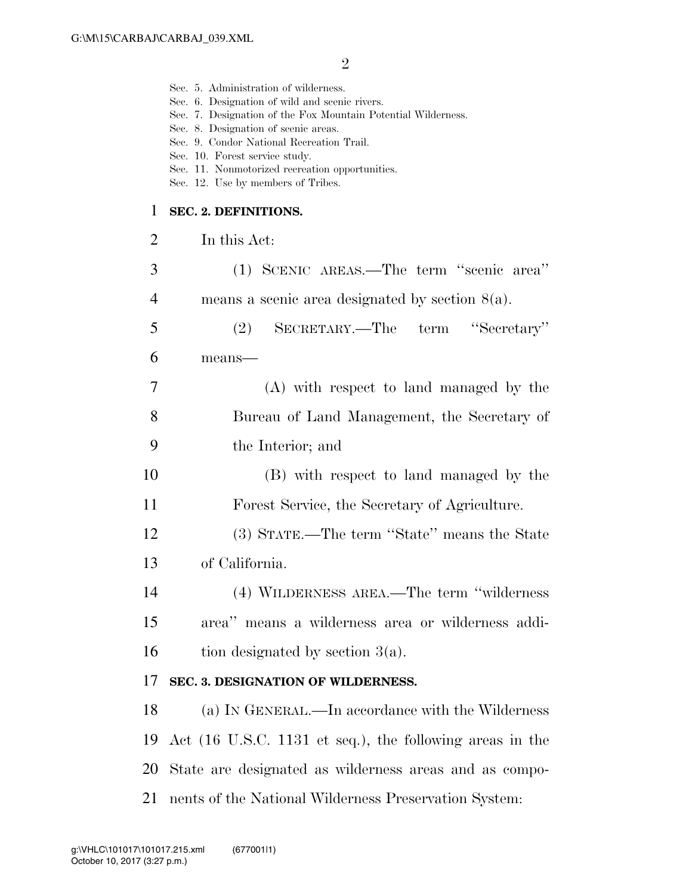Sec. 5. Administration of wilderness.

|                | Sec. 6. Designation of wild and scenic rivers.<br>Sec. 7. Designation of the Fox Mountain Potential Wilderness.<br>Sec. 8. Designation of scenic areas.<br>Sec. 9. Condor National Recreation Trail.<br>Sec. 10. Forest service study.<br>Sec. 11. Nonmotorized recreation opportunities.<br>Sec. 12. Use by members of Tribes. |
|----------------|---------------------------------------------------------------------------------------------------------------------------------------------------------------------------------------------------------------------------------------------------------------------------------------------------------------------------------|
| 1              | SEC. 2. DEFINITIONS.                                                                                                                                                                                                                                                                                                            |
| $\overline{2}$ | In this Act:                                                                                                                                                                                                                                                                                                                    |
| 3              | (1) SCENIC AREAS.—The term "scenic area"                                                                                                                                                                                                                                                                                        |
| 4              | means a scenic area designated by section $8(a)$ .                                                                                                                                                                                                                                                                              |
| 5              | SECRETARY.—The term "Secretary"<br>(2)                                                                                                                                                                                                                                                                                          |
| 6              | means-                                                                                                                                                                                                                                                                                                                          |
| 7              | (A) with respect to land managed by the                                                                                                                                                                                                                                                                                         |
| 8              | Bureau of Land Management, the Secretary of                                                                                                                                                                                                                                                                                     |
| 9              | the Interior; and                                                                                                                                                                                                                                                                                                               |
| 10             | (B) with respect to land managed by the                                                                                                                                                                                                                                                                                         |
| 11             | Forest Service, the Secretary of Agriculture.                                                                                                                                                                                                                                                                                   |
| 12             | (3) STATE.—The term "State" means the State                                                                                                                                                                                                                                                                                     |
| 13             | of California.                                                                                                                                                                                                                                                                                                                  |
| 14             | (4) WILDERNESS AREA.—The term "wilderness"                                                                                                                                                                                                                                                                                      |
| 15             | area" means a wilderness area or wilderness addi-                                                                                                                                                                                                                                                                               |
| 16             | tion designated by section $3(a)$ .                                                                                                                                                                                                                                                                                             |
| 17             | SEC. 3. DESIGNATION OF WILDERNESS.                                                                                                                                                                                                                                                                                              |
| 18             | (a) IN GENERAL.—In accordance with the Wilderness                                                                                                                                                                                                                                                                               |
| 19             | Act (16 U.S.C. 1131 et seq.), the following areas in the                                                                                                                                                                                                                                                                        |
| 20             | State are designated as wilderness areas and as compo-                                                                                                                                                                                                                                                                          |
| 21             | nents of the National Wilderness Preservation System:                                                                                                                                                                                                                                                                           |
|                |                                                                                                                                                                                                                                                                                                                                 |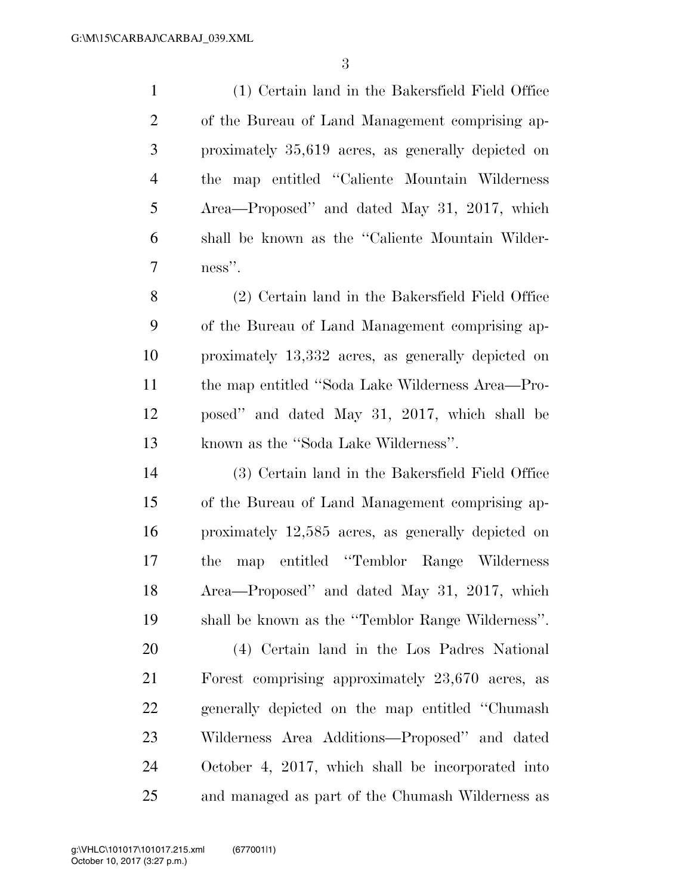(1) Certain land in the Bakersfield Field Office of the Bureau of Land Management comprising ap- proximately 35,619 acres, as generally depicted on the map entitled ''Caliente Mountain Wilderness Area—Proposed'' and dated May 31, 2017, which shall be known as the ''Caliente Mountain Wilder-ness''.

 (2) Certain land in the Bakersfield Field Office of the Bureau of Land Management comprising ap- proximately 13,332 acres, as generally depicted on the map entitled ''Soda Lake Wilderness Area—Pro- posed'' and dated May 31, 2017, which shall be known as the ''Soda Lake Wilderness''.

 (3) Certain land in the Bakersfield Field Office of the Bureau of Land Management comprising ap- proximately 12,585 acres, as generally depicted on the map entitled ''Temblor Range Wilderness Area—Proposed'' and dated May 31, 2017, which shall be known as the ''Temblor Range Wilderness''.

 (4) Certain land in the Los Padres National Forest comprising approximately 23,670 acres, as generally depicted on the map entitled ''Chumash Wilderness Area Additions—Proposed'' and dated October 4, 2017, which shall be incorporated into and managed as part of the Chumash Wilderness as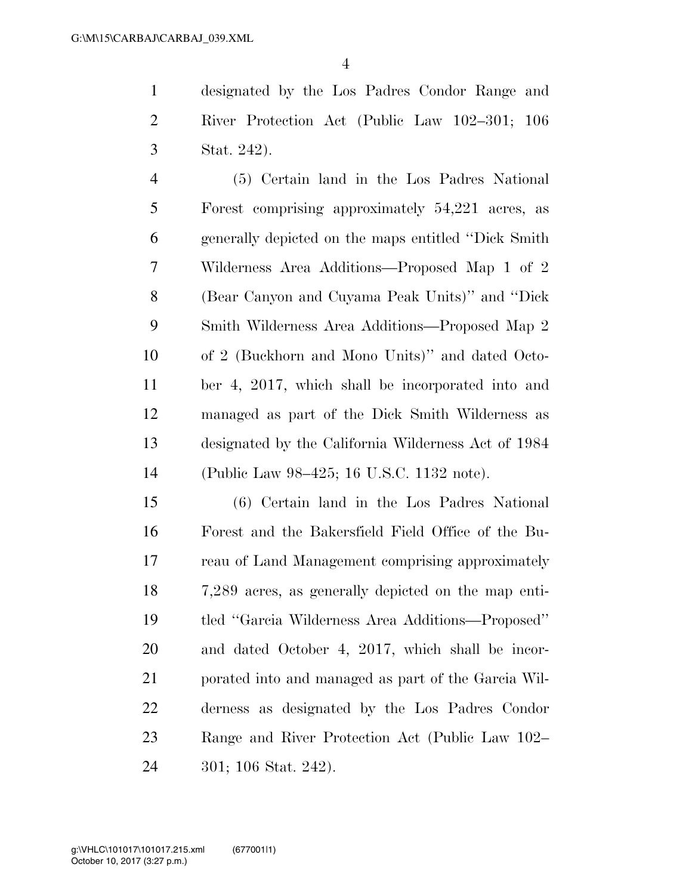designated by the Los Padres Condor Range and River Protection Act (Public Law 102–301; 106 Stat. 242).

 (5) Certain land in the Los Padres National Forest comprising approximately 54,221 acres, as generally depicted on the maps entitled ''Dick Smith Wilderness Area Additions—Proposed Map 1 of 2 (Bear Canyon and Cuyama Peak Units)'' and ''Dick Smith Wilderness Area Additions—Proposed Map 2 of 2 (Buckhorn and Mono Units)'' and dated Octo- ber 4, 2017, which shall be incorporated into and managed as part of the Dick Smith Wilderness as designated by the California Wilderness Act of 1984 (Public Law 98–425; 16 U.S.C. 1132 note).

 (6) Certain land in the Los Padres National Forest and the Bakersfield Field Office of the Bu- reau of Land Management comprising approximately 7,289 acres, as generally depicted on the map enti- tled ''Garcia Wilderness Area Additions—Proposed'' and dated October 4, 2017, which shall be incor- porated into and managed as part of the Garcia Wil- derness as designated by the Los Padres Condor Range and River Protection Act (Public Law 102– 301; 106 Stat. 242).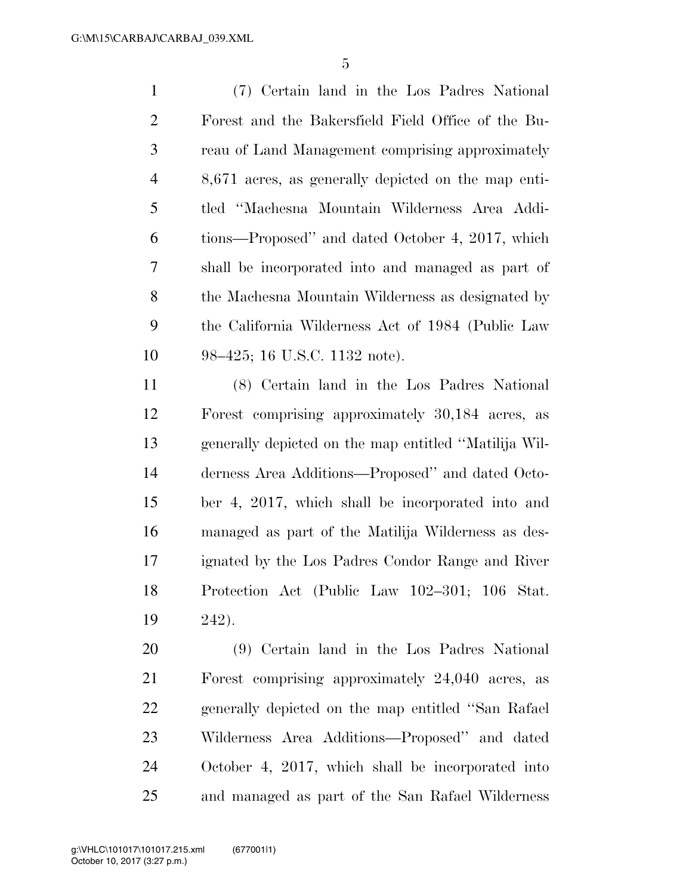(7) Certain land in the Los Padres National Forest and the Bakersfield Field Office of the Bu- reau of Land Management comprising approximately 8,671 acres, as generally depicted on the map enti- tled ''Machesna Mountain Wilderness Area Addi- tions—Proposed'' and dated October 4, 2017, which shall be incorporated into and managed as part of the Machesna Mountain Wilderness as designated by the California Wilderness Act of 1984 (Public Law 98–425; 16 U.S.C. 1132 note).

 (8) Certain land in the Los Padres National Forest comprising approximately 30,184 acres, as generally depicted on the map entitled ''Matilija Wil- derness Area Additions—Proposed'' and dated Octo- ber 4, 2017, which shall be incorporated into and managed as part of the Matilija Wilderness as des- ignated by the Los Padres Condor Range and River Protection Act (Public Law 102–301; 106 Stat. 242).

 (9) Certain land in the Los Padres National Forest comprising approximately 24,040 acres, as generally depicted on the map entitled ''San Rafael Wilderness Area Additions—Proposed'' and dated October 4, 2017, which shall be incorporated into and managed as part of the San Rafael Wilderness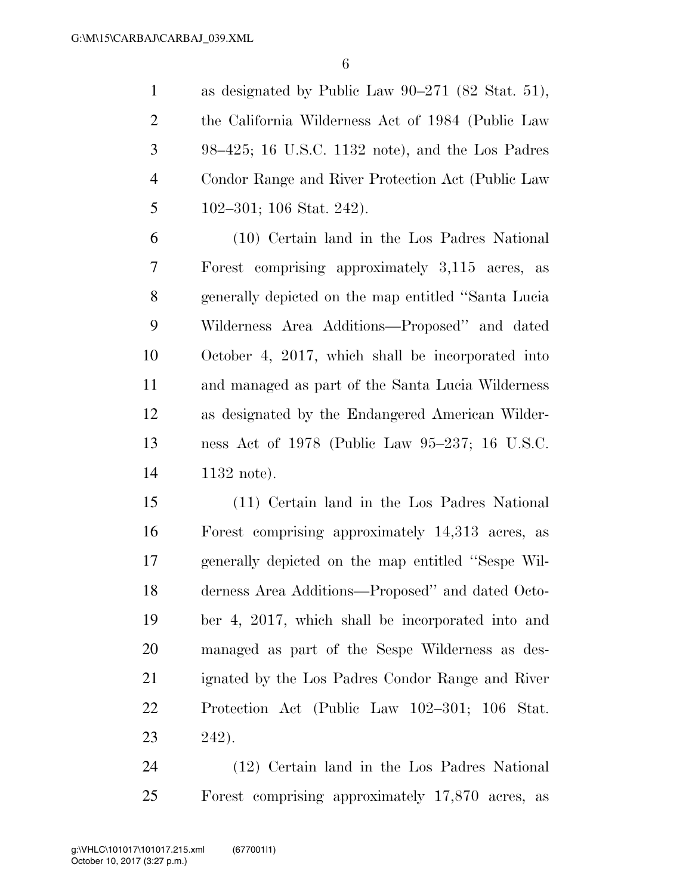as designated by Public Law 90–271 (82 Stat. 51), the California Wilderness Act of 1984 (Public Law 98–425; 16 U.S.C. 1132 note), and the Los Padres Condor Range and River Protection Act (Public Law 102–301; 106 Stat. 242).

 (10) Certain land in the Los Padres National Forest comprising approximately 3,115 acres, as generally depicted on the map entitled ''Santa Lucia Wilderness Area Additions—Proposed'' and dated October 4, 2017, which shall be incorporated into and managed as part of the Santa Lucia Wilderness as designated by the Endangered American Wilder- ness Act of 1978 (Public Law 95–237; 16 U.S.C. 1132 note).

 (11) Certain land in the Los Padres National Forest comprising approximately 14,313 acres, as generally depicted on the map entitled ''Sespe Wil- derness Area Additions—Proposed'' and dated Octo- ber 4, 2017, which shall be incorporated into and managed as part of the Sespe Wilderness as des- ignated by the Los Padres Condor Range and River Protection Act (Public Law 102–301; 106 Stat. 242).

 (12) Certain land in the Los Padres National Forest comprising approximately 17,870 acres, as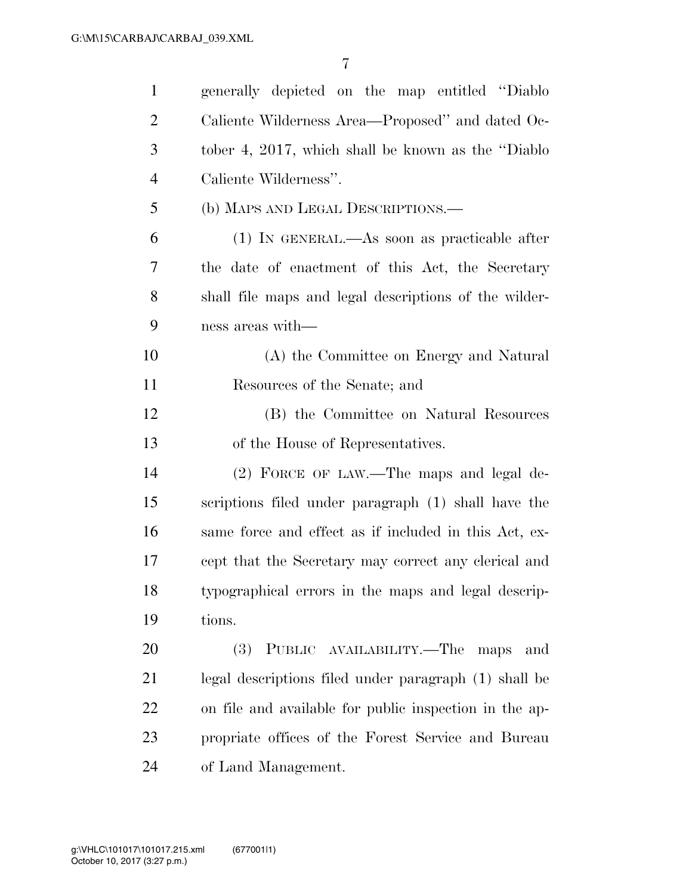| $\mathbf{1}$   | generally depicted on the map entitled "Diablo"        |
|----------------|--------------------------------------------------------|
| $\overline{2}$ | Caliente Wilderness Area—Proposed" and dated Oc-       |
| 3              | tober 4, 2017, which shall be known as the "Diablo"    |
| $\overline{4}$ | Caliente Wilderness".                                  |
| 5              | (b) MAPS AND LEGAL DESCRIPTIONS.—                      |
| 6              | $(1)$ In GENERAL.—As soon as practicable after         |
| 7              | the date of enactment of this Act, the Secretary       |
| 8              | shall file maps and legal descriptions of the wilder-  |
| 9              | ness areas with—                                       |
| 10             | (A) the Committee on Energy and Natural                |
| 11             | Resources of the Senate; and                           |
| 12             | (B) the Committee on Natural Resources                 |
| 13             | of the House of Representatives.                       |
| 14             | (2) FORCE OF LAW.—The maps and legal de-               |
| 15             | scriptions filed under paragraph (1) shall have the    |
| 16             | same force and effect as if included in this Act, ex-  |
| 17             | cept that the Secretary may correct any clerical and   |
| 18             | typographical errors in the maps and legal descrip-    |
| 19             | tions.                                                 |
| 20             | PUBLIC AVAILABILITY.—The<br><b>(3)</b><br>maps<br>and  |
| 21             | legal descriptions filed under paragraph (1) shall be  |
| 22             | on file and available for public inspection in the ap- |
| 23             | propriate offices of the Forest Service and Bureau     |
| 24             | of Land Management.                                    |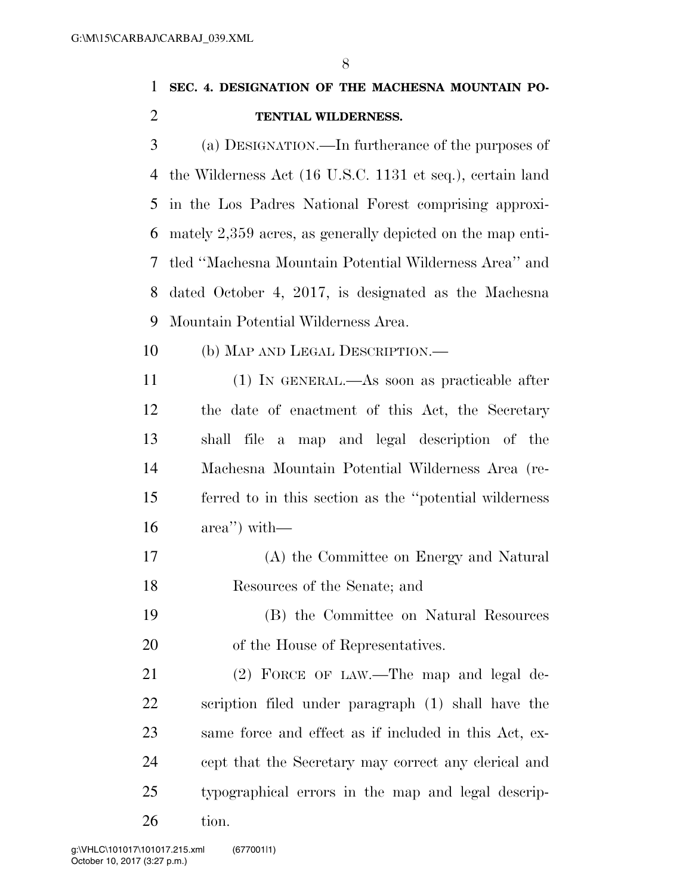## **SEC. 4. DESIGNATION OF THE MACHESNA MOUNTAIN PO-TENTIAL WILDERNESS.**

 (a) DESIGNATION.—In furtherance of the purposes of the Wilderness Act (16 U.S.C. 1131 et seq.), certain land in the Los Padres National Forest comprising approxi- mately 2,359 acres, as generally depicted on the map enti- tled ''Machesna Mountain Potential Wilderness Area'' and dated October 4, 2017, is designated as the Machesna Mountain Potential Wilderness Area.

- (b) MAP AND LEGAL DESCRIPTION.—
- (1) IN GENERAL.—As soon as practicable after the date of enactment of this Act, the Secretary shall file a map and legal description of the Machesna Mountain Potential Wilderness Area (re- ferred to in this section as the ''potential wilderness area'') with—
- (A) the Committee on Energy and Natural Resources of the Senate; and
- (B) the Committee on Natural Resources of the House of Representatives.

21 (2) FORCE OF LAW.—The map and legal de- scription filed under paragraph (1) shall have the same force and effect as if included in this Act, ex- cept that the Secretary may correct any clerical and typographical errors in the map and legal descrip-tion.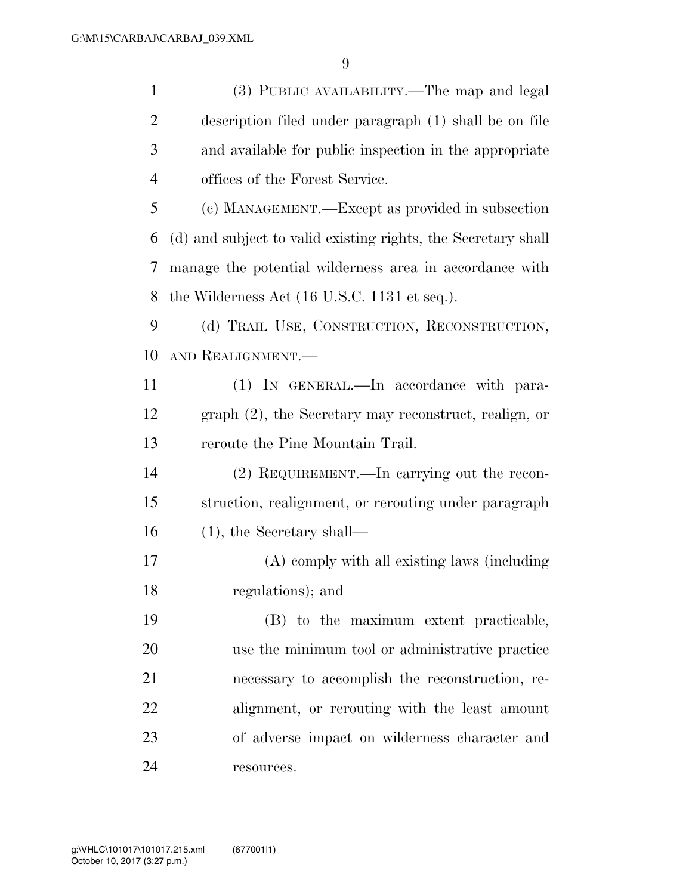| $\mathbf{1}$   | (3) PUBLIC AVAILABILITY.—The map and legal                      |
|----------------|-----------------------------------------------------------------|
| $\overline{2}$ | description filed under paragraph (1) shall be on file          |
| 3              | and available for public inspection in the appropriate          |
| $\overline{4}$ | offices of the Forest Service.                                  |
| 5              | (c) MANAGEMENT.—Except as provided in subsection                |
| 6              | (d) and subject to valid existing rights, the Secretary shall   |
| 7              | manage the potential wilderness area in accordance with         |
| 8              | the Wilderness Act $(16 \text{ U.S.C. } 1131 \text{ et seq.}).$ |
| 9              | (d) TRAIL USE, CONSTRUCTION, RECONSTRUCTION,                    |
| 10             | AND REALIGNMENT.                                                |
| 11             | (1) IN GENERAL.—In accordance with para-                        |
| 12             | $graph (2)$ , the Secretary may reconstruct, realign, or        |
| 13             | reroute the Pine Mountain Trail.                                |
| 14             | (2) REQUIREMENT.—In carrying out the recon-                     |
| 15             | struction, realignment, or rerouting under paragraph            |
| 16             | $(1)$ , the Secretary shall—                                    |
| 17             | (A) comply with all existing laws (including                    |
| 18             | regulations); and                                               |
| 19             | (B) to the maximum extent practicable,                          |
| 20             | use the minimum tool or administrative practice                 |
| 21             | necessary to accomplish the reconstruction, re-                 |
| 22             | alignment, or rerouting with the least amount                   |
| 23             | of adverse impact on wilderness character and                   |
| 24             | resources.                                                      |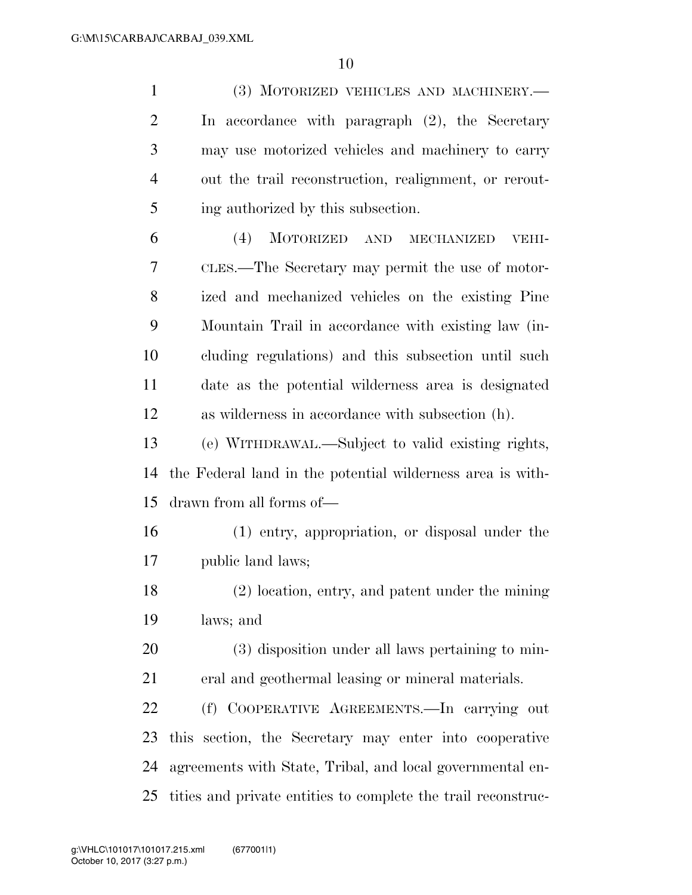(3) MOTORIZED VEHICLES AND MACHINERY.— In accordance with paragraph (2), the Secretary may use motorized vehicles and machinery to carry out the trail reconstruction, realignment, or rerout- ing authorized by this subsection. (4) MOTORIZED AND MECHANIZED VEHI- CLES.—The Secretary may permit the use of motor- ized and mechanized vehicles on the existing Pine Mountain Trail in accordance with existing law (in- cluding regulations) and this subsection until such date as the potential wilderness area is designated as wilderness in accordance with subsection (h). (e) WITHDRAWAL.—Subject to valid existing rights, the Federal land in the potential wilderness area is with- drawn from all forms of— (1) entry, appropriation, or disposal under the public land laws; (2) location, entry, and patent under the mining laws; and (3) disposition under all laws pertaining to min-eral and geothermal leasing or mineral materials.

 (f) COOPERATIVE AGREEMENTS.—In carrying out this section, the Secretary may enter into cooperative agreements with State, Tribal, and local governmental en-tities and private entities to complete the trail reconstruc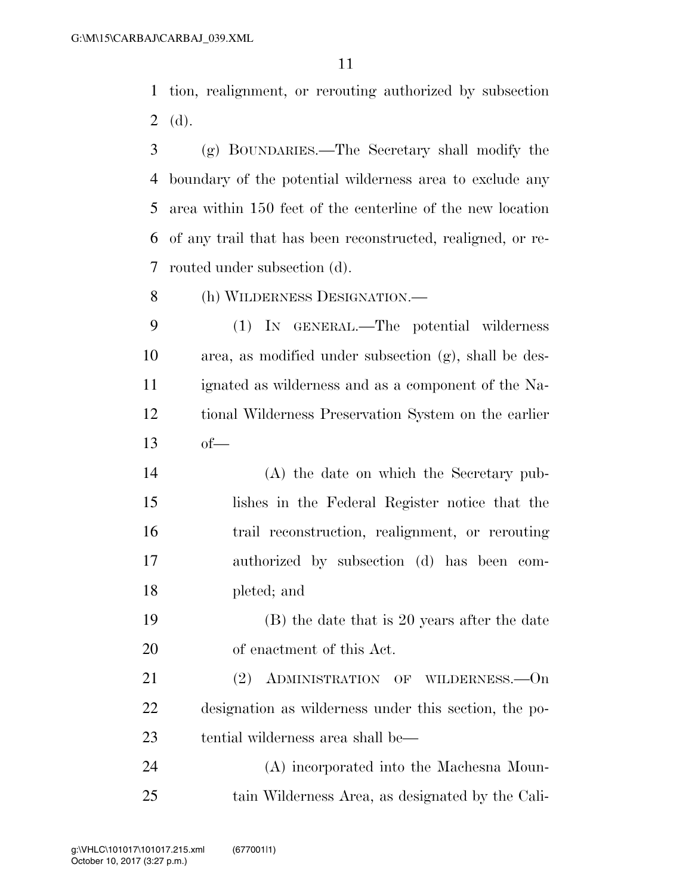tion, realignment, or rerouting authorized by subsection (d).

- (g) BOUNDARIES.—The Secretary shall modify the boundary of the potential wilderness area to exclude any area within 150 feet of the centerline of the new location of any trail that has been reconstructed, realigned, or re-routed under subsection (d).
- (h) WILDERNESS DESIGNATION.—
- (1) IN GENERAL.—The potential wilderness area, as modified under subsection (g), shall be des- ignated as wilderness and as a component of the Na- tional Wilderness Preservation System on the earlier of—
- (A) the date on which the Secretary pub- lishes in the Federal Register notice that the trail reconstruction, realignment, or rerouting authorized by subsection (d) has been com-pleted; and
- (B) the date that is 20 years after the date of enactment of this Act.
- 21 (2) ADMINISTRATION OF WILDERNESS. On designation as wilderness under this section, the po-tential wilderness area shall be—
- (A) incorporated into the Machesna Moun-tain Wilderness Area, as designated by the Cali-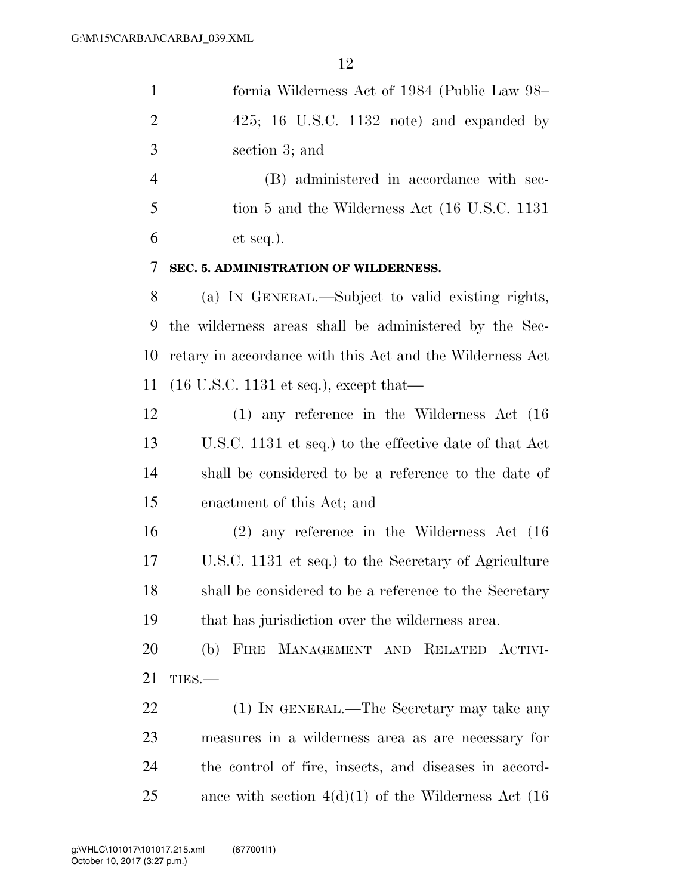| $\mathbf{1}$   | fornia Wilderness Act of 1984 (Public Law 98–             |
|----------------|-----------------------------------------------------------|
| $\overline{2}$ | $425$ ; 16 U.S.C. 1132 note) and expanded by              |
| 3              | section 3; and                                            |
| $\overline{4}$ | (B) administered in accordance with sec-                  |
| 5              | tion 5 and the Wilderness Act (16 U.S.C. 1131)            |
| 6              | $et seq.$ ).                                              |
| 7              | SEC. 5. ADMINISTRATION OF WILDERNESS.                     |
| 8              | (a) IN GENERAL.—Subject to valid existing rights,         |
| 9              | the wilderness areas shall be administered by the Sec-    |
| 10             | retary in accordance with this Act and the Wilderness Act |
| <sup>11</sup>  | $(16$ U.S.C. 1131 et seq.), except that—                  |
| 12             | $(1)$ any reference in the Wilderness Act $(16)$          |
| 13             | U.S.C. 1131 et seq.) to the effective date of that Act    |
| 14             | shall be considered to be a reference to the date of      |
| 15             | enactment of this Act; and                                |
| 16             | $(2)$ any reference in the Wilderness Act $(16)$          |
| 17             | U.S.C. 1131 et seq.) to the Secretary of Agriculture      |
| 18             | shall be considered to be a reference to the Secretary    |
| 19             | that has jurisdiction over the wilderness area.           |
| 20             | FIRE MANAGEMENT AND RELATED ACTIVI-<br>(b)                |
| 21             | TIES.                                                     |
| 22             | (1) IN GENERAL.—The Secretary may take any                |
| 23             | measures in a wilderness area as are necessary for        |
| 24             | the control of fire, insects, and diseases in accord-     |
| 25             | ance with section $4(d)(1)$ of the Wilderness Act (16)    |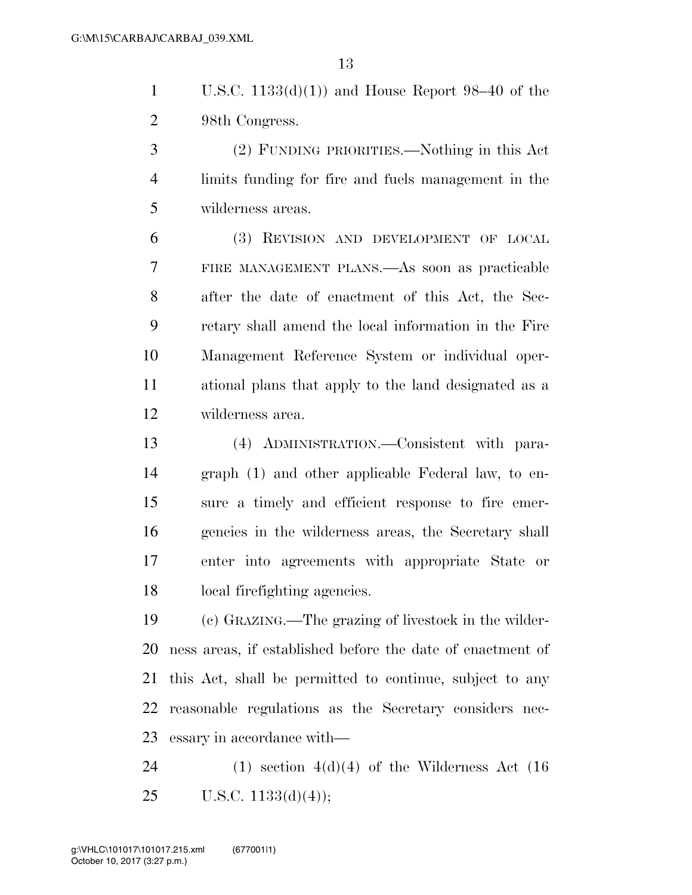1 U.S.C.  $1133(d)(1)$  and House Report 98–40 of the 98th Congress.

 (2) FUNDING PRIORITIES.—Nothing in this Act limits funding for fire and fuels management in the wilderness areas.

 (3) REVISION AND DEVELOPMENT OF LOCAL FIRE MANAGEMENT PLANS.—As soon as practicable after the date of enactment of this Act, the Sec- retary shall amend the local information in the Fire Management Reference System or individual oper- ational plans that apply to the land designated as a wilderness area.

 (4) ADMINISTRATION.—Consistent with para- graph (1) and other applicable Federal law, to en- sure a timely and efficient response to fire emer- gencies in the wilderness areas, the Secretary shall enter into agreements with appropriate State or local firefighting agencies.

 (c) GRAZING.—The grazing of livestock in the wilder- ness areas, if established before the date of enactment of this Act, shall be permitted to continue, subject to any reasonable regulations as the Secretary considers nec-essary in accordance with—

24 (1) section  $4(d)(4)$  of the Wilderness Act (16) 25 U.S.C.  $1133(d)(4)$ ;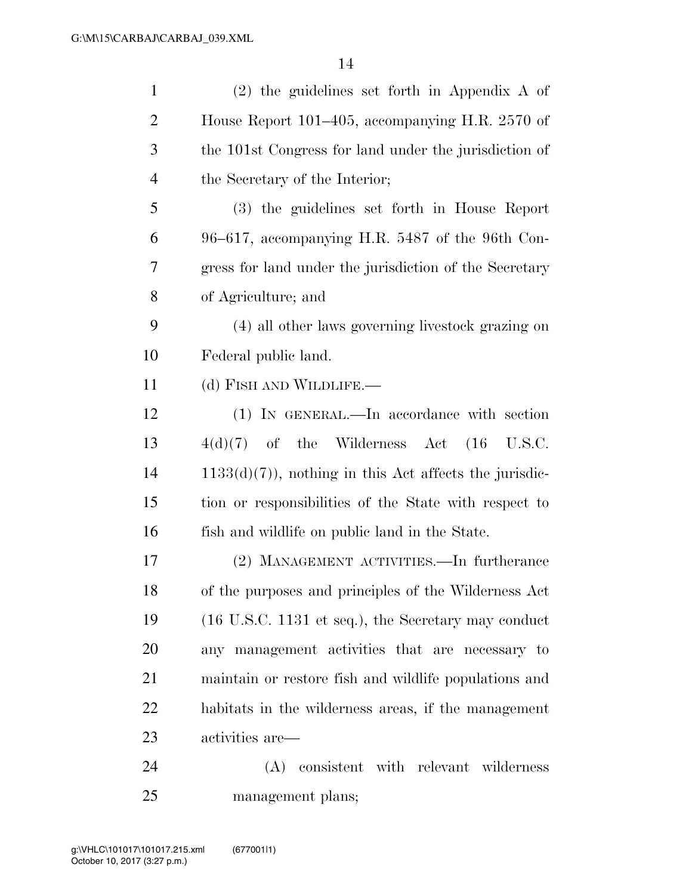| $\mathbf{1}$   | $(2)$ the guidelines set forth in Appendix A of                        |
|----------------|------------------------------------------------------------------------|
| $\overline{2}$ | House Report 101–405, accompanying H.R. 2570 of                        |
| 3              | the 101st Congress for land under the jurisdiction of                  |
| $\overline{4}$ | the Secretary of the Interior;                                         |
| 5              | (3) the guidelines set forth in House Report                           |
| 6              | $96-617$ , accompanying H.R. 5487 of the 96th Con-                     |
| 7              | gress for land under the jurisdiction of the Secretary                 |
| 8              | of Agriculture; and                                                    |
| 9              | (4) all other laws governing livestock grazing on                      |
| 10             | Federal public land.                                                   |
| 11             | (d) FISH AND WILDLIFE.—                                                |
| 12             | (1) IN GENERAL.—In accordance with section                             |
| 13             | $4(d)(7)$ of the Wilderness Act $(16 \text{ U.S.C.})$                  |
| 14             | $1133(d)(7)$ , nothing in this Act affects the jurisdic-               |
| 15             | tion or responsibilities of the State with respect to                  |
| 16             | fish and wildlife on public land in the State.                         |
| 17             | (2) MANAGEMENT ACTIVITIES.—In furtherance                              |
| 18             | of the purposes and principles of the Wilderness Act                   |
| 19             | $(16 \text{ U.S.C. } 1131 \text{ et seq.}),$ the Secretary may conduct |
| 20             | any management activities that are necessary to                        |
| 21             | maintain or restore fish and wildlife populations and                  |
| 22             | habitats in the wilderness areas, if the management                    |
| 23             | activities are—                                                        |
| 24             | (A) consistent with relevant wilderness                                |
| 25             | management plans;                                                      |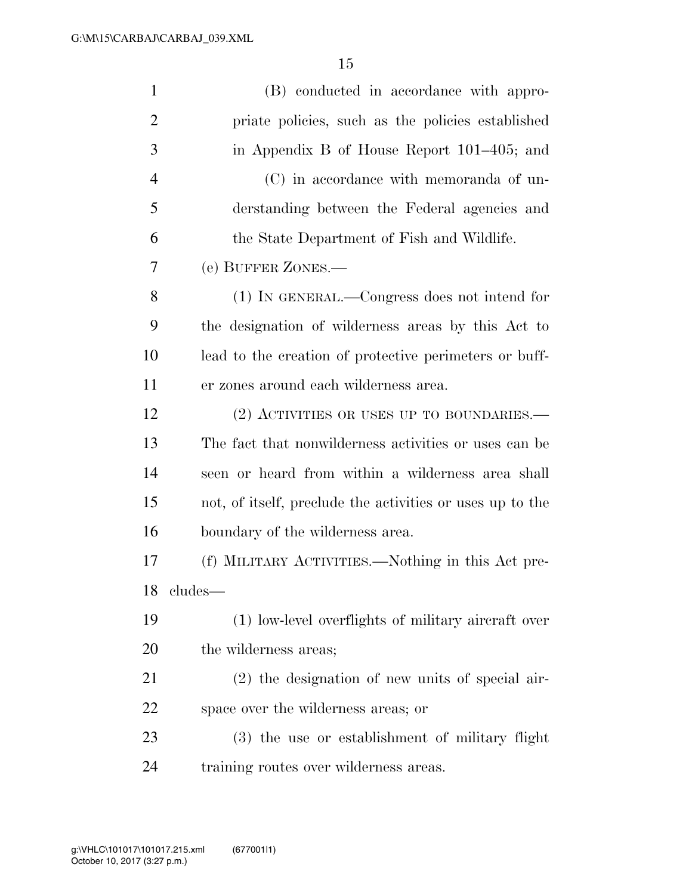| $\mathbf{1}$   | (B) conducted in accordance with appro-                   |
|----------------|-----------------------------------------------------------|
| $\overline{2}$ | priate policies, such as the policies established         |
| 3              | in Appendix B of House Report 101–405; and                |
| $\overline{4}$ | (C) in accordance with memoranda of un-                   |
| 5              | derstanding between the Federal agencies and              |
| 6              | the State Department of Fish and Wildlife.                |
| 7              | (e) BUFFER ZONES.-                                        |
| 8              | (1) IN GENERAL.—Congress does not intend for              |
| 9              | the designation of wilderness areas by this Act to        |
| 10             | lead to the creation of protective perimeters or buff-    |
| 11             | er zones around each wilderness area.                     |
| 12             | $(2)$ ACTIVITIES OR USES UP TO BOUNDARIES.—               |
| 13             | The fact that nonwilderness activities or uses can be     |
| 14             | seen or heard from within a wilderness area shall         |
| 15             | not, of itself, preclude the activities or uses up to the |
| 16             | boundary of the wilderness area.                          |
| 17             | (f) MILITARY ACTIVITIES.—Nothing in this Act pre-         |
| 18             | cludes—                                                   |
| 19             | (1) low-level overflights of military aircraft over       |
| 20             | the wilderness areas;                                     |
| 21             | (2) the designation of new units of special air-          |
| 22             | space over the wilderness areas; or                       |
| 23             | (3) the use or establishment of military flight           |
| 24             | training routes over wilderness areas.                    |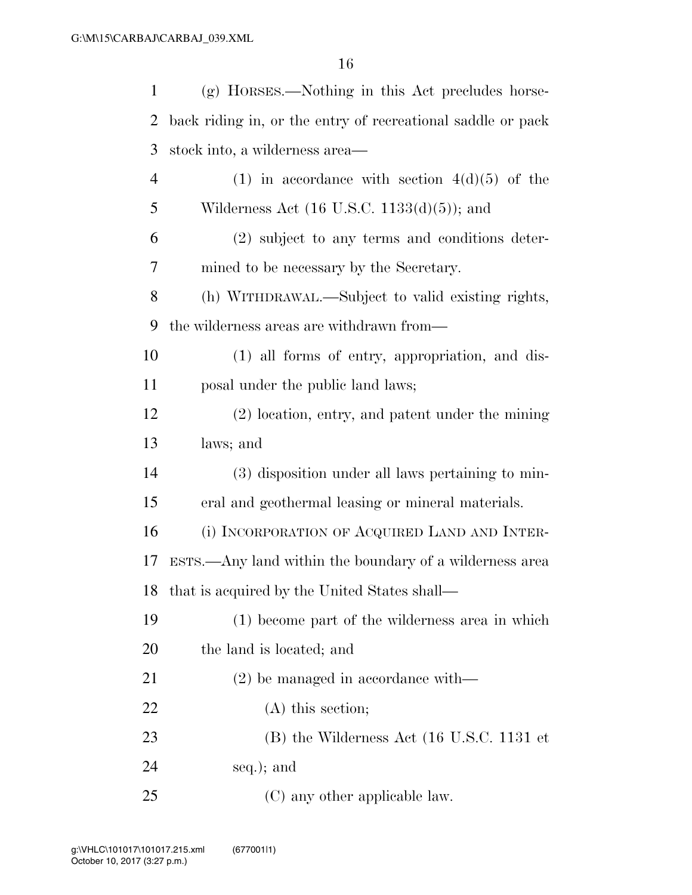| $\mathbf{1}$   | (g) HORSES.—Nothing in this Act precludes horse-                |
|----------------|-----------------------------------------------------------------|
| 2              | back riding in, or the entry of recreational saddle or pack     |
| 3              | stock into, a wilderness area—                                  |
| $\overline{4}$ | (1) in accordance with section $4(d)(5)$ of the                 |
| 5              | Wilderness Act $(16 \text{ U.S.C. } 1133(d)(5))$ ; and          |
| 6              | (2) subject to any terms and conditions deter-                  |
| 7              | mined to be necessary by the Secretary.                         |
| 8              | (h) WITHDRAWAL.—Subject to valid existing rights,               |
| 9              | the wilderness areas are withdrawn from—                        |
| 10             | (1) all forms of entry, appropriation, and dis-                 |
| 11             | posal under the public land laws;                               |
| 12             | (2) location, entry, and patent under the mining                |
| 13             | laws; and                                                       |
| 14             | (3) disposition under all laws pertaining to min-               |
| 15             | eral and geothermal leasing or mineral materials.               |
| 16             | (i) INCORPORATION OF ACQUIRED LAND AND INTER-                   |
| 17             | ESTS.—Any land within the boundary of a wilderness area         |
|                | 18 that is acquired by the United States shall—                 |
| 19             | (1) become part of the wilderness area in which                 |
| <b>20</b>      | the land is located; and                                        |
| 21             | $(2)$ be managed in accordance with—                            |
| 22             | $(A)$ this section;                                             |
| 23             | $(B)$ the Wilderness Act $(16 \text{ U.S.C. } 1131 \text{ et }$ |
| 24             | seq.); and                                                      |
| 25             | (C) any other applicable law.                                   |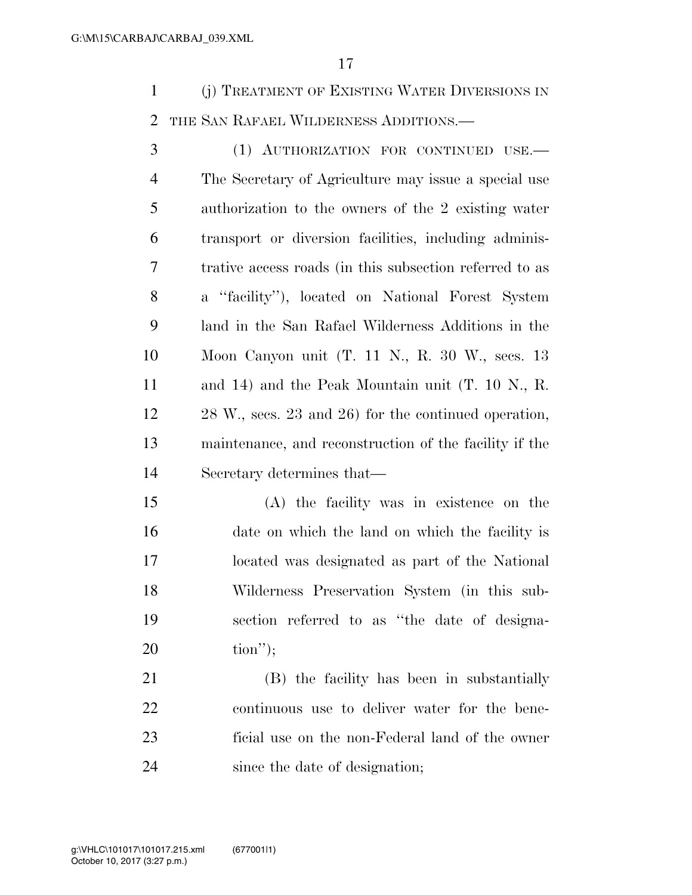(j) TREATMENT OF EXISTING WATER DIVERSIONS IN THE SAN RAFAEL WILDERNESS ADDITIONS.—

 (1) AUTHORIZATION FOR CONTINUED USE.— The Secretary of Agriculture may issue a special use authorization to the owners of the 2 existing water transport or diversion facilities, including adminis- trative access roads (in this subsection referred to as a ''facility''), located on National Forest System land in the San Rafael Wilderness Additions in the Moon Canyon unit (T. 11 N., R. 30 W., secs. 13 and 14) and the Peak Mountain unit (T. 10 N., R. 28 W., secs. 23 and 26) for the continued operation, maintenance, and reconstruction of the facility if the Secretary determines that—

 (A) the facility was in existence on the date on which the land on which the facility is located was designated as part of the National Wilderness Preservation System (in this sub- section referred to as ''the date of designa-tion'');

 (B) the facility has been in substantially continuous use to deliver water for the bene- ficial use on the non-Federal land of the owner since the date of designation;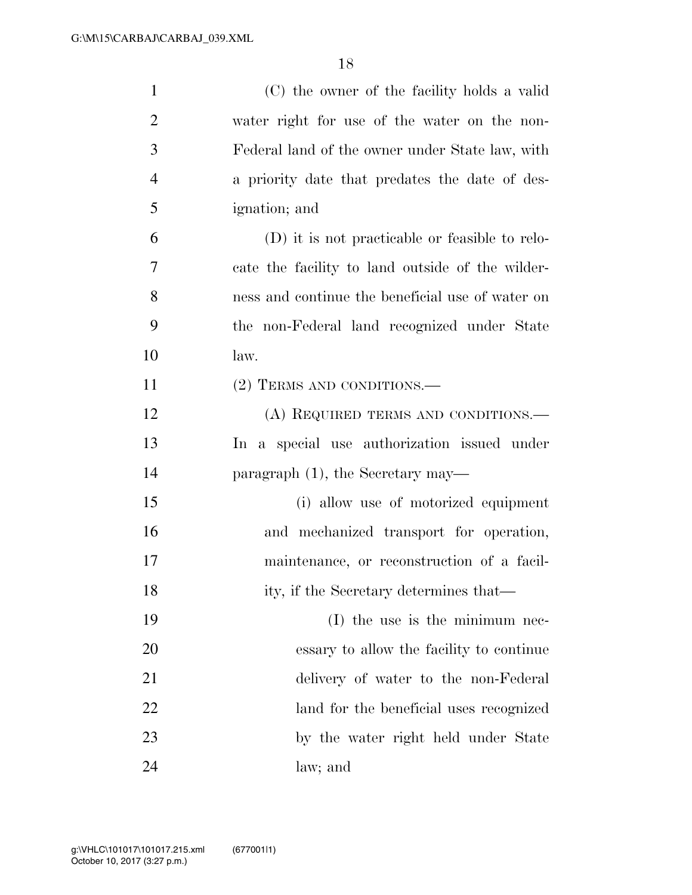| $\mathbf{1}$   | (C) the owner of the facility holds a valid      |
|----------------|--------------------------------------------------|
| $\overline{2}$ | water right for use of the water on the non-     |
| 3              | Federal land of the owner under State law, with  |
| $\overline{4}$ | a priority date that predates the date of des-   |
| 5              | ignation; and                                    |
| 6              | (D) it is not practicable or feasible to relo-   |
| 7              | cate the facility to land outside of the wilder- |
| 8              | ness and continue the beneficial use of water on |
| 9              | the non-Federal land recognized under State      |
| 10             | law.                                             |
| 11             | (2) TERMS AND CONDITIONS.—                       |
| 12             | (A) REQUIRED TERMS AND CONDITIONS.—              |
| 13             | In a special use authorization issued under      |
| 14             | paragraph $(1)$ , the Secretary may—             |
| 15             | (i) allow use of motorized equipment             |
| 16             | and mechanized transport for operation,          |
| 17             | maintenance, or reconstruction of a facil-       |
| 18             | ity, if the Secretary determines that—           |
| 19             | $(I)$ the use is the minimum nec-                |
| 20             | essary to allow the facility to continue         |
| 21             | delivery of water to the non-Federal             |
| 22             | land for the beneficial uses recognized          |
| 23             | by the water right held under State              |
| 24             | law; and                                         |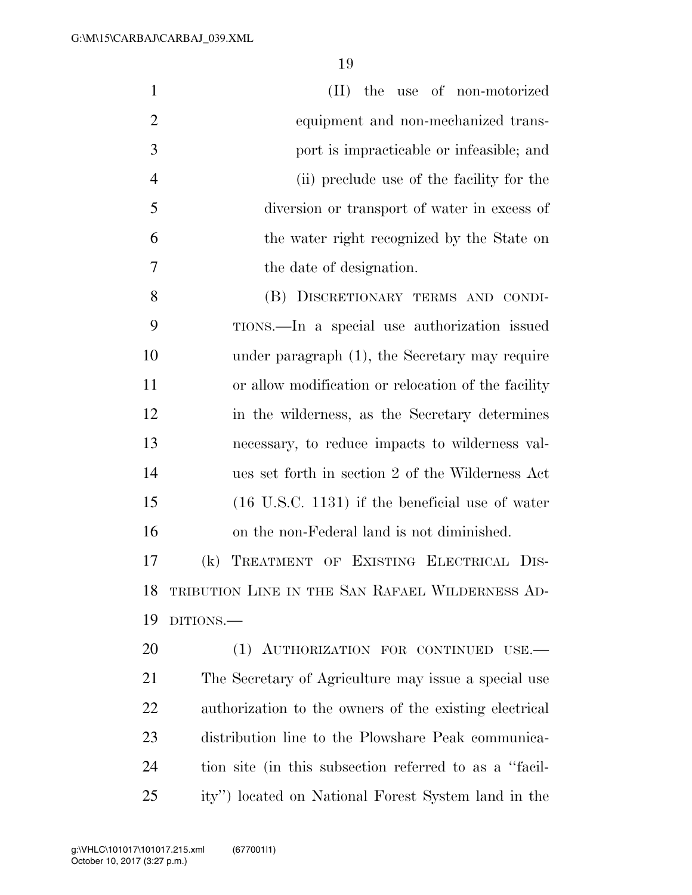| $\mathbf{1}$   | (II) the use of non-motorized                              |
|----------------|------------------------------------------------------------|
| $\overline{2}$ | equipment and non-mechanized trans-                        |
| 3              | port is impracticable or infeasible; and                   |
| $\overline{4}$ | (ii) preclude use of the facility for the                  |
| 5              | diversion or transport of water in excess of               |
| 6              | the water right recognized by the State on                 |
| 7              | the date of designation.                                   |
| 8              | (B) DISCRETIONARY TERMS AND CONDI-                         |
| 9              | TIONS.—In a special use authorization issued               |
| 10             | under paragraph (1), the Secretary may require             |
| 11             | or allow modification or relocation of the facility        |
| 12             | in the wilderness, as the Secretary determines             |
| 13             | necessary, to reduce impacts to wilderness val-            |
| 14             | ues set forth in section 2 of the Wilderness Act           |
| 15             | $(16 \text{ U.S.C. } 1131)$ if the beneficial use of water |
| 16             | on the non-Federal land is not diminished.                 |
| 17             | TREATMENT OF EXISTING ELECTRICAL DIS-<br>(k)               |
| 18             | TRIBUTION LINE IN THE SAN RAFAEL WILDERNESS AD-            |
| 19             | DITIONS.                                                   |
| 20             | (1) AUTHORIZATION FOR CONTINUED USE.                       |
| 21             | The Secretary of Agriculture may issue a special use       |
| 22             | authorization to the owners of the existing electrical     |
| 23             | distribution line to the Plowshare Peak communica-         |
| 24             | tion site (in this subsection referred to as a "facil-     |
| 25             | ity") located on National Forest System land in the        |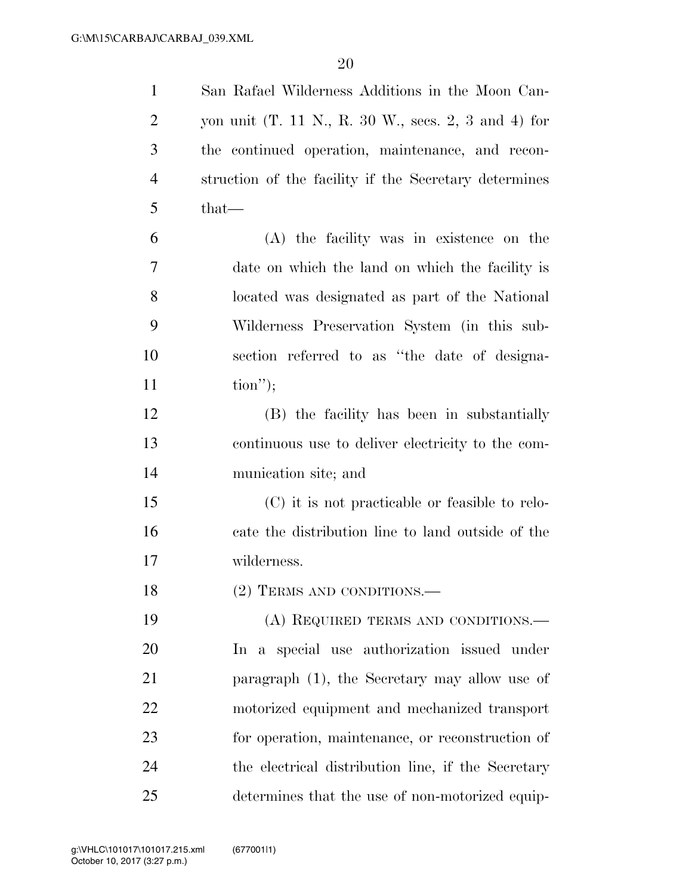| $\mathbf{1}$   | San Rafael Wilderness Additions in the Moon Can-                                       |
|----------------|----------------------------------------------------------------------------------------|
| $\overline{c}$ | yon unit $(T. 11 \text{ N}., R. 30 \text{ W}., \text{sees. } 2, 3 \text{ and } 4)$ for |
| 3              | the continued operation, maintenance, and recon-                                       |
| $\overline{4}$ | struction of the facility if the Secretary determines                                  |
| 5              | $that$ —                                                                               |
| 6              | (A) the facility was in existence on the                                               |
| 7              | date on which the land on which the facility is                                        |
| 8              | located was designated as part of the National                                         |
| 9              | Wilderness Preservation System (in this sub-                                           |
| 10             | section referred to as "the date of designa-                                           |
| 11             | $\text{tion}$ ");                                                                      |
| 12             | (B) the facility has been in substantially                                             |
| 13             | continuous use to deliver electricity to the com-                                      |
| 14             | munication site; and                                                                   |
| 15             | (C) it is not practicable or feasible to relo-                                         |
| 16             | cate the distribution line to land outside of the                                      |
| 17             | wilderness.                                                                            |
| 18             | $(2)$ TERMS AND CONDITIONS.—                                                           |
| 19             | (A) REQUIRED TERMS AND CONDITIONS.—                                                    |
| 20             | In a special use authorization issued under                                            |
| 21             | paragraph (1), the Secretary may allow use of                                          |
| 22             | motorized equipment and mechanized transport                                           |
| 23             | for operation, maintenance, or reconstruction of                                       |
| 24             | the electrical distribution line, if the Secretary                                     |
| 25             | determines that the use of non-motorized equip-                                        |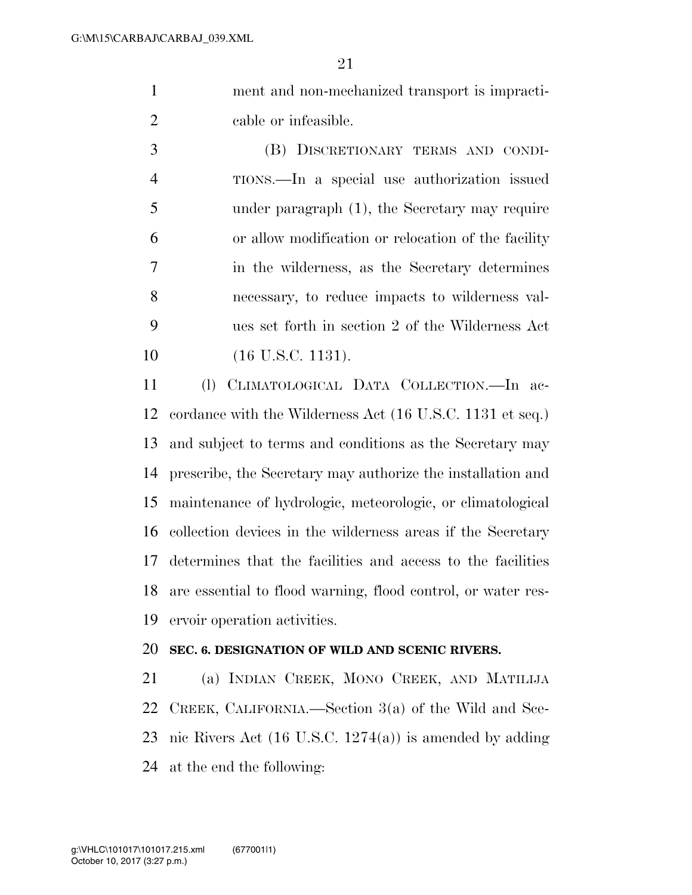ment and non-mechanized transport is impracti-cable or infeasible.

 (B) DISCRETIONARY TERMS AND CONDI- TIONS.—In a special use authorization issued under paragraph (1), the Secretary may require or allow modification or relocation of the facility in the wilderness, as the Secretary determines necessary, to reduce impacts to wilderness val- ues set forth in section 2 of the Wilderness Act 10 (16 U.S.C. 1131).

 (l) CLIMATOLOGICAL DATA COLLECTION.—In ac- cordance with the Wilderness Act (16 U.S.C. 1131 et seq.) and subject to terms and conditions as the Secretary may prescribe, the Secretary may authorize the installation and maintenance of hydrologic, meteorologic, or climatological collection devices in the wilderness areas if the Secretary determines that the facilities and access to the facilities are essential to flood warning, flood control, or water res-ervoir operation activities.

### **SEC. 6. DESIGNATION OF WILD AND SCENIC RIVERS.**

 (a) INDIAN CREEK, MONO CREEK, AND MATILIJA CREEK, CALIFORNIA.—Section 3(a) of the Wild and Sce- nic Rivers Act (16 U.S.C. 1274(a)) is amended by adding at the end the following: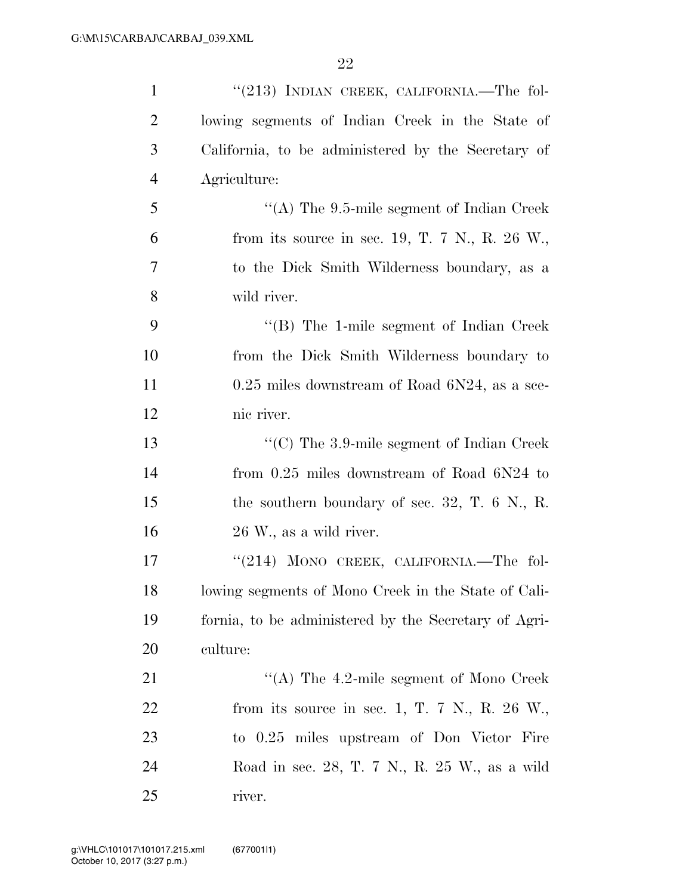| $\mathbf{1}$   | " $(213)$ INDIAN CREEK, CALIFORNIA.—The fol-         |
|----------------|------------------------------------------------------|
| $\overline{2}$ | lowing segments of Indian Creek in the State of      |
| 3              | California, to be administered by the Secretary of   |
| $\overline{4}$ | Agriculture:                                         |
| 5              | "(A) The $9.5$ -mile segment of Indian Creek         |
| 6              | from its source in sec. 19, T. 7 N., R. 26 W.,       |
| 7              | to the Dick Smith Wilderness boundary, as a          |
| 8              | wild river.                                          |
| 9              | $\lq\lq$ (B) The 1-mile segment of Indian Creek      |
| 10             | from the Dick Smith Wilderness boundary to           |
| 11             | $0.25$ miles downstream of Road $6N24$ , as a sce-   |
| 12             | nic river.                                           |
| 13             | " $(C)$ The 3.9-mile segment of Indian Creek"        |
| 14             | from $0.25$ miles downstream of Road $6N24$ to       |
| 15             | the southern boundary of sec. 32, T. $6$ N., R.      |
| 16             | 26 W., as a wild river.                              |
| 17             | "(214) MONO CREEK, CALIFORNIA.—The fol-              |
| 18             | lowing segments of Mono Creek in the State of Cali-  |
| 19             | fornia, to be administered by the Secretary of Agri- |
| <b>20</b>      | culture:                                             |
| 21             | "(A) The 4.2-mile segment of Mono Creek              |
| 22             | from its source in sec. 1, T. 7 N., R. 26 W.,        |
| 23             | to 0.25 miles upstream of Don Victor Fire            |
| 24             | Road in sec. 28, T. 7 N., R. 25 W., as a wild        |
| 25             | river.                                               |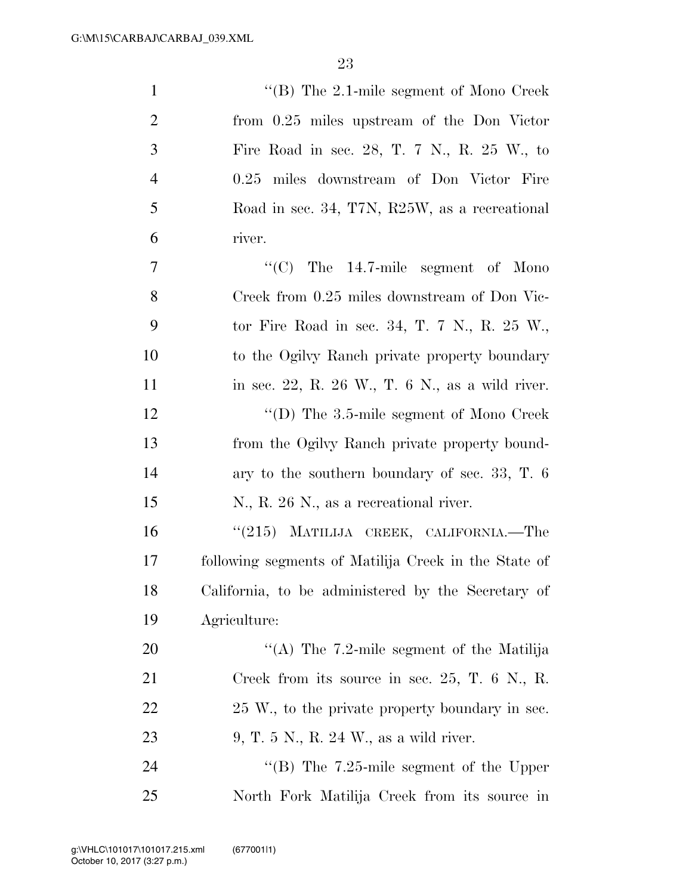| $\mathbf{1}$   | "(B) The $2.1$ -mile segment of Mono Creek           |
|----------------|------------------------------------------------------|
| $\overline{2}$ | from 0.25 miles upstream of the Don Victor           |
| 3              | Fire Road in sec. 28, T. 7 N., R. 25 W., to          |
| $\overline{4}$ | 0.25 miles downstream of Don Victor Fire             |
| 5              | Road in sec. 34, T7N, R25W, as a recreational        |
| 6              | river.                                               |
| 7              | $\cdot\cdot$ (C) The 14.7-mile segment of Mono       |
| 8              | Creek from 0.25 miles downstream of Don Vic-         |
| 9              | tor Fire Road in sec. 34, T. 7 N., R. $25 W$ .       |
| 10             | to the Ogilyy Ranch private property boundary        |
| 11             | in sec. 22, R. 26 W., T. $6$ N., as a wild river.    |
| 12             | "(D) The $3.5$ -mile segment of Mono Creek           |
| 13             | from the Ogilvy Ranch private property bound-        |
| 14             | ary to the southern boundary of sec. 33, T. $6$      |
| 15             | N., R. 26 N., as a recreational river.               |
| 16             | "(215) MATILIJA CREEK, CALIFORNIA.—The               |
| 17             | following segments of Matilija Creek in the State of |
| 18             | California, to be administered by the Secretary of   |
| 19             | Agriculture:                                         |
| 20             | "(A) The $7.2$ -mile segment of the Matilija         |
| 21             | Creek from its source in sec. $25$ , T. 6 N., R.     |
| 22             | 25 W, to the private property boundary in sec.       |
| 23             | 9, T. 5 N., R. 24 W., as a wild river.               |
| 24             | "(B) The $7.25$ -mile segment of the Upper           |
| 25             | North Fork Matilija Creek from its source in         |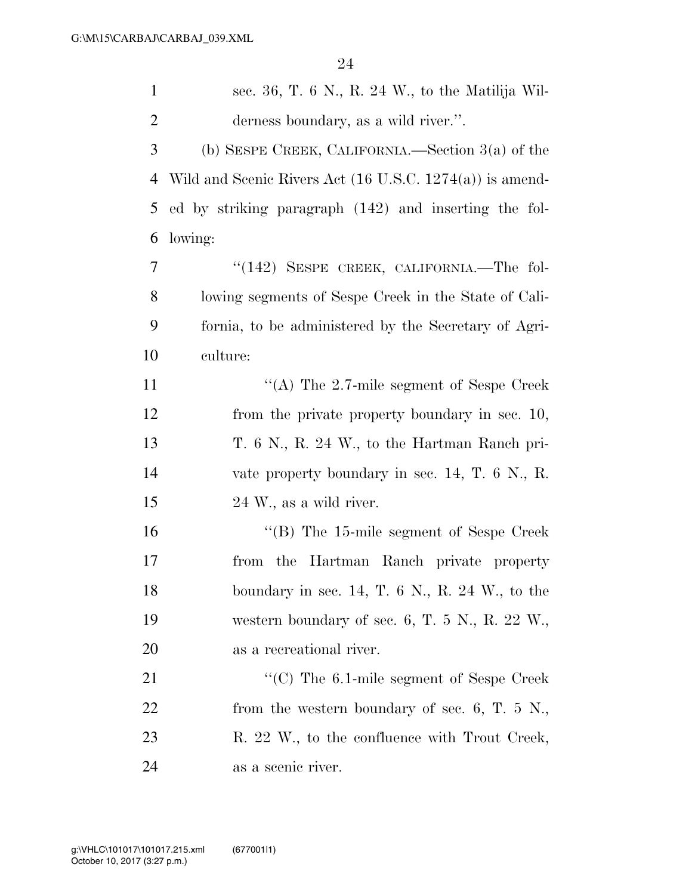| $\mathbf{1}$   | sec. 36, T. 6 N., R. 24 W., to the Matilija Wil-                    |
|----------------|---------------------------------------------------------------------|
| $\overline{2}$ | derness boundary, as a wild river.".                                |
| 3              | (b) SESPE CREEK, CALIFORNIA.—Section $3(a)$ of the                  |
| 4              | Wild and Scenic Rivers Act $(16 \text{ U.S.C. } 1274(a))$ is amend- |
| 5              | ed by striking paragraph (142) and inserting the fol-               |
| 6              | lowing:                                                             |
| 7              | $(142)$ SESPE CREEK, CALIFORNIA.—The fol-                           |
| 8              | lowing segments of Sespe Creek in the State of Cali-                |
| 9              | fornia, to be administered by the Secretary of Agri-                |
| 10             | culture:                                                            |
| 11             | "(A) The $2.7$ -mile segment of Sespe Creek                         |
| 12             | from the private property boundary in sec. 10,                      |
| 13             | T. 6 N., R. 24 W., to the Hartman Ranch pri-                        |
| 14             | vate property boundary in sec. $14$ , T. 6 N., R.                   |
| 15             | 24 W., as a wild river.                                             |
| 16             | $\cdot$ (B) The 15-mile segment of Sespe Creek                      |
| 17             | from the Hartman Ranch private property                             |
| 18             | boundary in sec. 14, T. $6 \text{ N}$ , R. 24 W., to the            |
| 19             | western boundary of sec. 6, T. 5 N., R. 22 W.,                      |
| 20             | as a recreational river.                                            |
| 21             | $\cdot\cdot$ (C) The 6.1-mile segment of Sespe Creek                |
| 22             | from the western boundary of sec. 6, T. $5\,$ N.,                   |
| 23             | R. 22 W., to the confluence with Trout Creek,                       |
| 24             | as a scenic river.                                                  |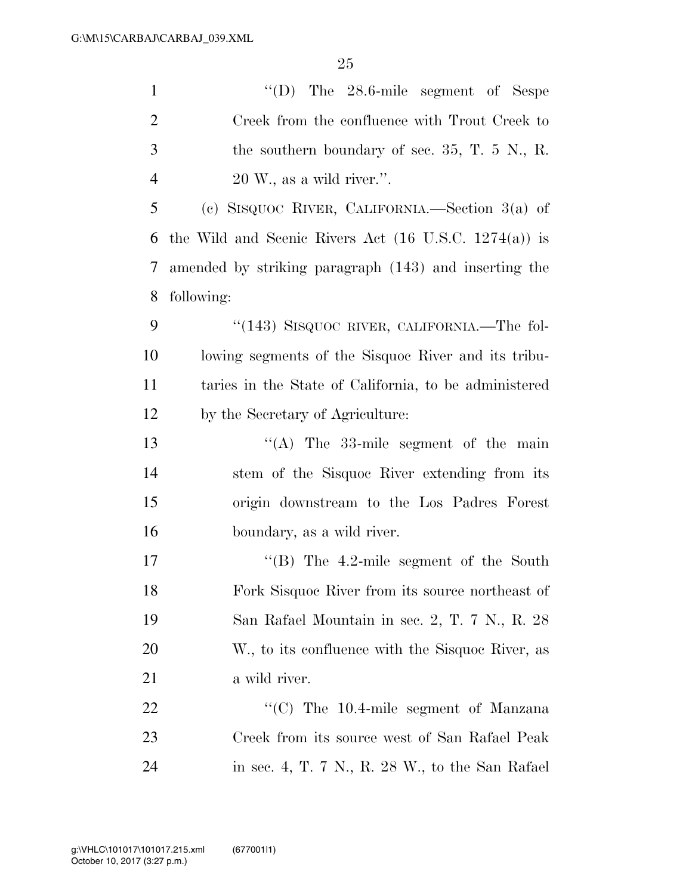| $\mathbf{1}$   | "(D) The $28.6$ -mile segment of Sespe                           |
|----------------|------------------------------------------------------------------|
| $\overline{2}$ | Creek from the confluence with Trout Creek to                    |
| 3              | the southern boundary of sec. $35, T. 5$ N., R.                  |
| $\overline{4}$ | $20 \,\mathrm{W}$ ., as a wild river.".                          |
| 5              | (c) SISQUOC RIVER, CALIFORNIA.—Section $3(a)$ of                 |
| 6              | the Wild and Scenic Rivers Act $(16 \text{ U.S.C. } 1274(a))$ is |
| 7              | amended by striking paragraph (143) and inserting the            |
| 8              | following:                                                       |
| 9              | "(143) SISQUOC RIVER, CALIFORNIA.—The fol-                       |
| 10             | lowing segments of the Sisquoc River and its tribu-              |
| 11             | taries in the State of California, to be administered            |
| 12             | by the Secretary of Agriculture:                                 |
| 13             | "(A) The 33-mile segment of the main                             |
| 14             | stem of the Sisquoc River extending from its                     |
| 15             | origin downstream to the Los Padres Forest                       |
| 16             | boundary, as a wild river.                                       |
| 17             | $\cdot$ (B) The 4.2-mile segment of the South                    |
| 18             | Fork Sisquoc River from its source northeast of                  |
| 19             | San Rafael Mountain in sec. 2, T. 7 N., R. 28                    |
| 20             | W., to its confluence with the Sisquoc River, as                 |
| 21             | a wild river.                                                    |
| 22             | "(C) The $10.4$ -mile segment of Manzana                         |
| 23             | Creek from its source west of San Rafael Peak                    |
| 24             | in sec. 4, T. 7 N., R. 28 W., to the San Rafael                  |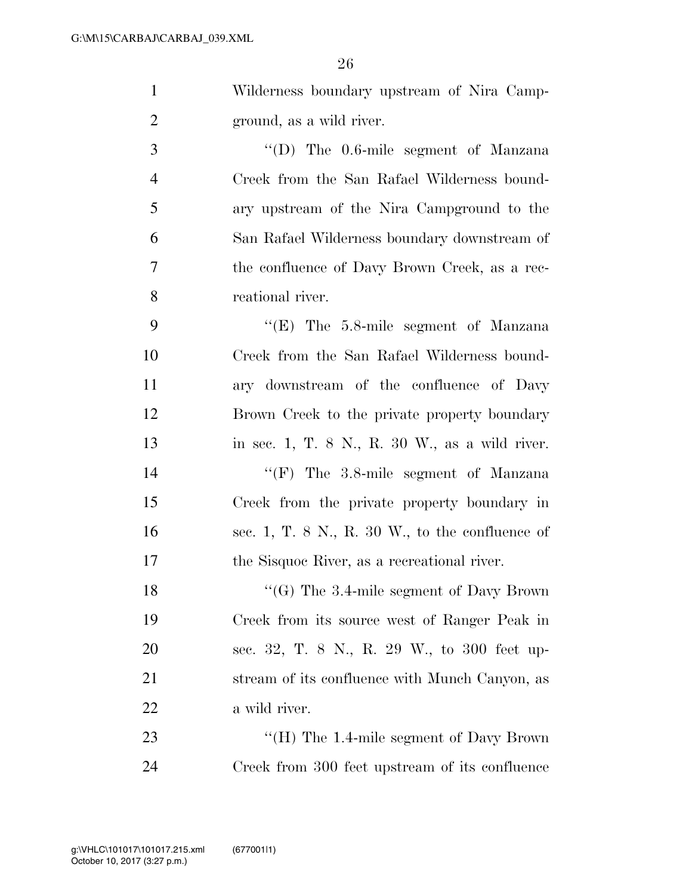|              | Wilderness boundary upstream of Nira Camp-   |
|--------------|----------------------------------------------|
|              | ground, as a wild river.                     |
| $\mathbf{R}$ | $\lq\lq$ (D) The 0.6-mile segment of Manzana |

 Creek from the San Rafael Wilderness bound- ary upstream of the Nira Campground to the San Rafael Wilderness boundary downstream of the confluence of Davy Brown Creek, as a rec-reational river.

 ''(E) The 5.8-mile segment of Manzana Creek from the San Rafael Wilderness bound- ary downstream of the confluence of Davy Brown Creek to the private property boundary in sec. 1, T. 8 N., R. 30 W., as a wild river. 14 ''(F) The 3.8-mile segment of Manzana Creek from the private property boundary in sec. 1, T. 8 N., R. 30 W., to the confluence of the Sisquoc River, as a recreational river.

18 "'(G) The 3.4-mile segment of Davy Brown Creek from its source west of Ranger Peak in sec. 32, T. 8 N., R. 29 W., to 300 feet up-21 stream of its confluence with Munch Canyon, as a wild river.

23 "'(H) The 1.4-mile segment of Davy Brown Creek from 300 feet upstream of its confluence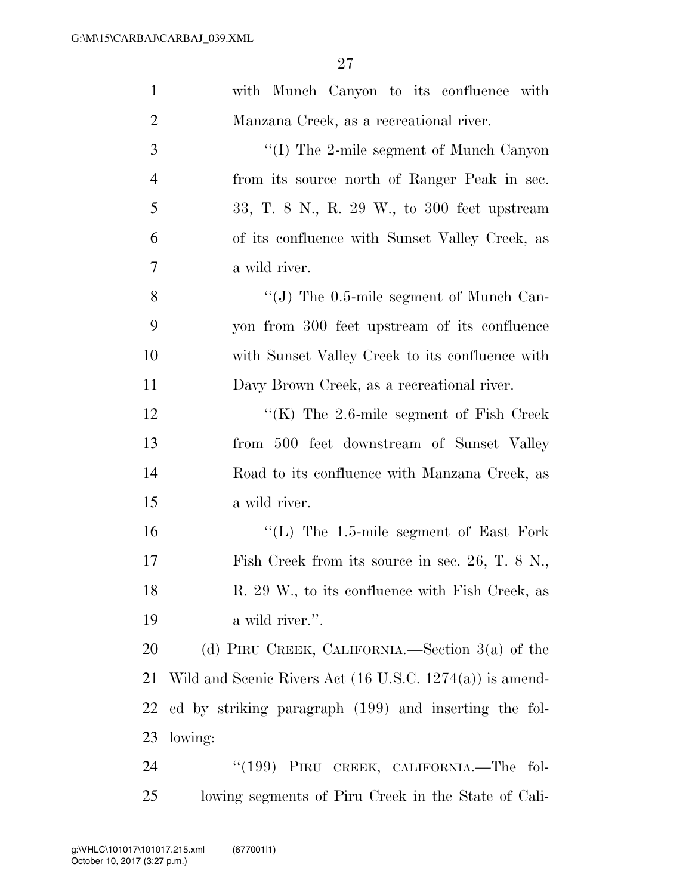| $\mathbf{1}$   | with Munch Canyon to its confluence with                            |
|----------------|---------------------------------------------------------------------|
| $\overline{2}$ | Manzana Creek, as a recreational river.                             |
| 3              | $\lq\lq$ (I) The 2-mile segment of Munch Canyon                     |
| $\overline{4}$ | from its source north of Ranger Peak in sec.                        |
| 5              | 33, T. 8 N., R. 29 W., to 300 feet upstream                         |
| 6              | of its confluence with Sunset Valley Creek, as                      |
| 7              | a wild river.                                                       |
| 8              | $\lq\lq$ (J) The 0.5-mile segment of Munch Can-                     |
| 9              | yon from 300 feet upstream of its confluence                        |
| 10             | with Sunset Valley Creek to its confluence with                     |
| 11             | Davy Brown Creek, as a recreational river.                          |
| 12             | "(K) The $2.6$ -mile segment of Fish Creek"                         |
| 13             | from 500 feet downstream of Sunset Valley                           |
| 14             | Road to its confluence with Manzana Creek, as                       |
| 15             | a wild river.                                                       |
| 16             | $\lq$ (L) The 1.5-mile segment of East Fork                         |
| 17             | Fish Creek from its source in sec. 26, T. $8 \text{ N}$ .           |
| 18             | R. 29 W., to its confluence with Fish Creek, as                     |
| 19             | a wild river.".                                                     |
| 20             | (d) PIRU CREEK, CALIFORNIA.—Section $3(a)$ of the                   |
| 21             | Wild and Scenic Rivers Act $(16 \text{ U.S.C. } 1274(a))$ is amend- |
| 22             | ed by striking paragraph (199) and inserting the fol-               |
| 23             | lowing:                                                             |
| 24             | "(199) PIRU CREEK, CALIFORNIA.—The fol-                             |
| 25             | lowing segments of Piru Creek in the State of Cali-                 |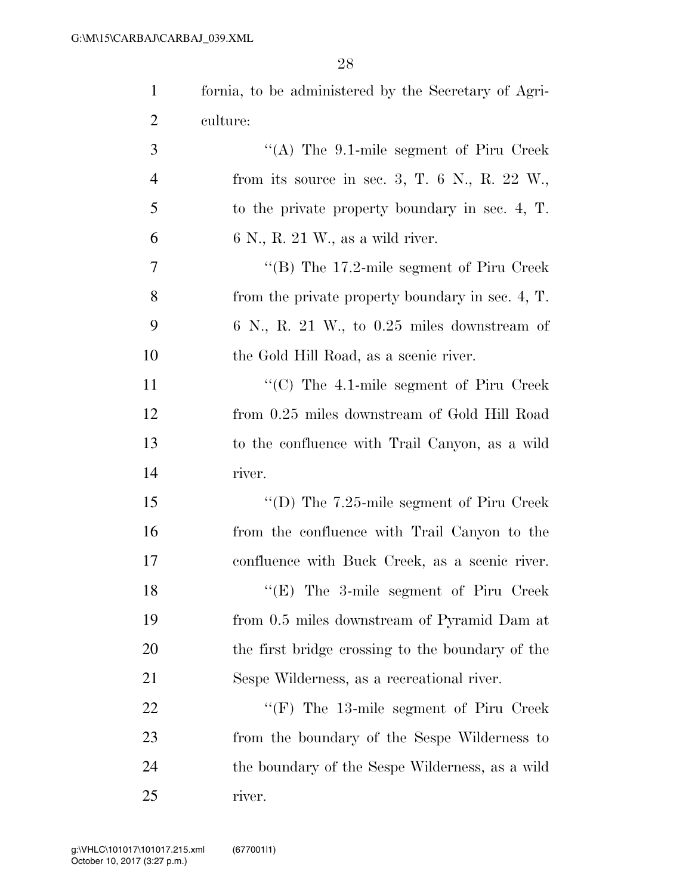| 1              | fornia, to be administered by the Secretary of Agri- |
|----------------|------------------------------------------------------|
| $\overline{2}$ | culture:                                             |
| 3              | "(A) The $9.1$ -mile segment of Piru Creek           |
| $\overline{4}$ | from its source in sec. 3, T. $6$ N., R. $22$ W.,    |
| 5              | to the private property boundary in sec. 4, T.       |
| 6              | $6 \text{ N}$ , R. 21 W., as a wild river.           |
| $\tau$         | "(B) The $17.2$ -mile segment of Piru Creek          |
| 8              | from the private property boundary in sec. 4, T.     |
| 9              | $6$ N., R. 21 W., to 0.25 miles downstream of        |
| 10             | the Gold Hill Road, as a scenic river.               |
| 11             | $\cdot$ (C) The 4.1-mile segment of Piru Creek       |
| 12             | from 0.25 miles downstream of Gold Hill Road         |
| 13             | to the confluence with Trail Canyon, as a wild       |
| 14             | river.                                               |
| 15             | "(D) The $7.25$ -mile segment of Piru Creek          |
| 16             | from the confluence with Trail Canyon to the         |
| 17             | confluence with Buck Creek, as a scenic river.       |
| 18             | $\lq\lq$ (E) The 3-mile segment of Piru Creek        |
| 19             | from 0.5 miles downstream of Pyramid Dam at          |
| 20             | the first bridge crossing to the boundary of the     |
| 21             | Sespe Wilderness, as a recreational river.           |
| <u>22</u>      | $\lq\lq(F)$ The 13-mile segment of Piru Creek        |
| 23             | from the boundary of the Sespe Wilderness to         |
| 24             | the boundary of the Sespe Wilderness, as a wild      |
| 25             | river.                                               |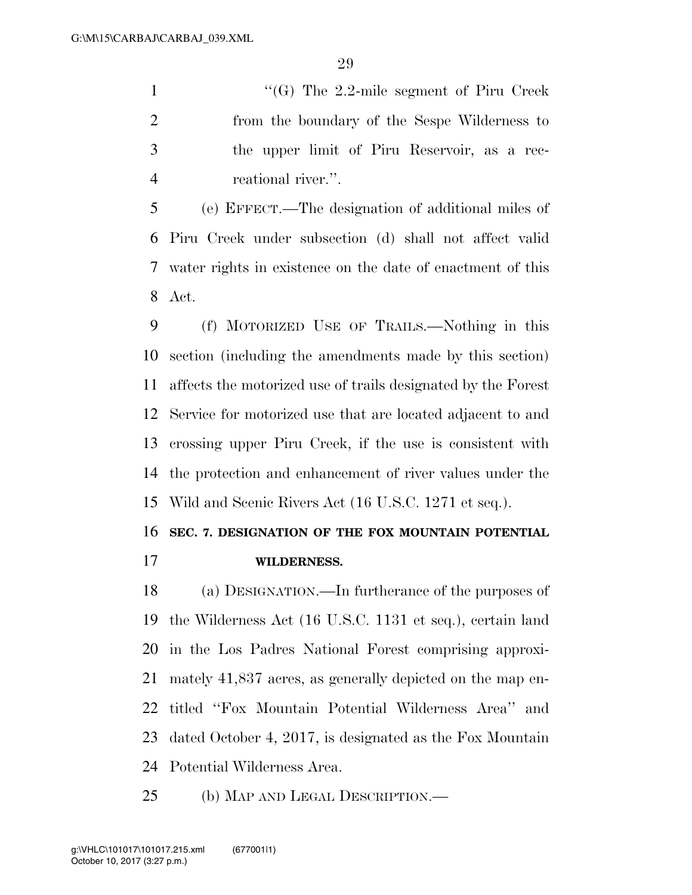''(G) The 2.2-mile segment of Piru Creek from the boundary of the Sespe Wilderness to the upper limit of Piru Reservoir, as a rec-reational river.''.

 (e) EFFECT.—The designation of additional miles of Piru Creek under subsection (d) shall not affect valid water rights in existence on the date of enactment of this Act.

 (f) MOTORIZED USE OF TRAILS.—Nothing in this section (including the amendments made by this section) affects the motorized use of trails designated by the Forest Service for motorized use that are located adjacent to and crossing upper Piru Creek, if the use is consistent with the protection and enhancement of river values under the Wild and Scenic Rivers Act (16 U.S.C. 1271 et seq.).

### **SEC. 7. DESIGNATION OF THE FOX MOUNTAIN POTENTIAL**

**WILDERNESS.** 

 (a) DESIGNATION.—In furtherance of the purposes of the Wilderness Act (16 U.S.C. 1131 et seq.), certain land in the Los Padres National Forest comprising approxi- mately 41,837 acres, as generally depicted on the map en- titled ''Fox Mountain Potential Wilderness Area'' and dated October 4, 2017, is designated as the Fox Mountain Potential Wilderness Area.

(b) MAP AND LEGAL DESCRIPTION.—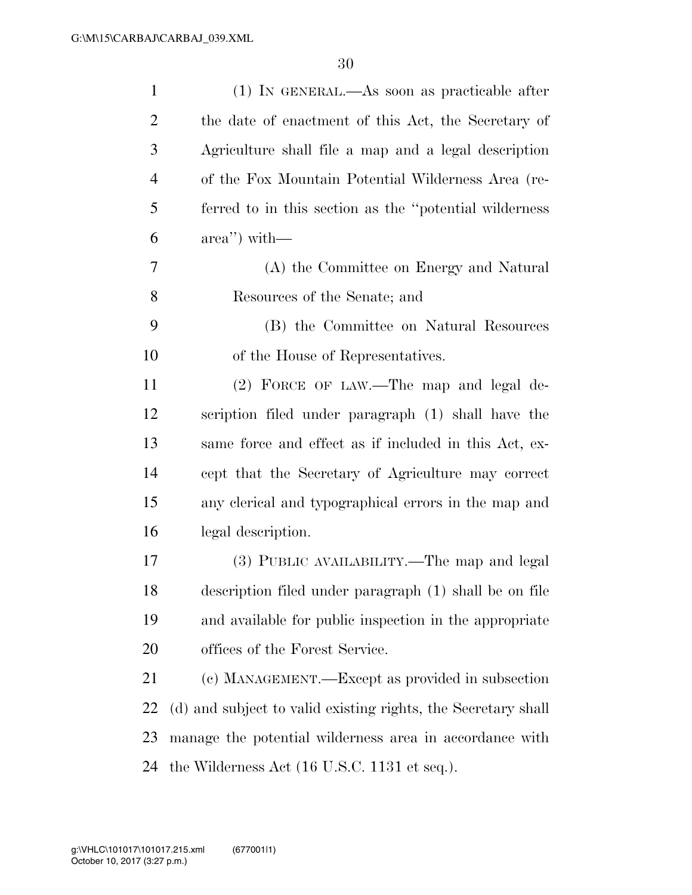| $\mathbf{1}$   | $(1)$ In GENERAL.—As soon as practicable after                  |
|----------------|-----------------------------------------------------------------|
| $\overline{2}$ | the date of enactment of this Act, the Secretary of             |
| 3              | Agriculture shall file a map and a legal description            |
| $\overline{4}$ | of the Fox Mountain Potential Wilderness Area (re-              |
| 5              | ferred to in this section as the "potential wilderness"         |
| 6              | $area'$ ) with—                                                 |
| 7              | (A) the Committee on Energy and Natural                         |
| 8              | Resources of the Senate; and                                    |
| 9              | (B) the Committee on Natural Resources                          |
| 10             | of the House of Representatives.                                |
| 11             | (2) FORCE OF LAW.—The map and legal de-                         |
| 12             | scription filed under paragraph (1) shall have the              |
| 13             | same force and effect as if included in this Act, ex-           |
| 14             | cept that the Secretary of Agriculture may correct              |
| 15             | any clerical and typographical errors in the map and            |
| 16             | legal description.                                              |
| 17             | (3) PUBLIC AVAILABILITY.—The map and legal                      |
| 18             | description filed under paragraph (1) shall be on file          |
| 19             | and available for public inspection in the appropriate          |
| 20             | offices of the Forest Service.                                  |
| 21             | (c) MANAGEMENT.—Except as provided in subsection                |
| 22             | (d) and subject to valid existing rights, the Secretary shall   |
| 23             | manage the potential wilderness area in accordance with         |
| 24             | the Wilderness Act $(16 \text{ U.S.C. } 1131 \text{ et seq.}).$ |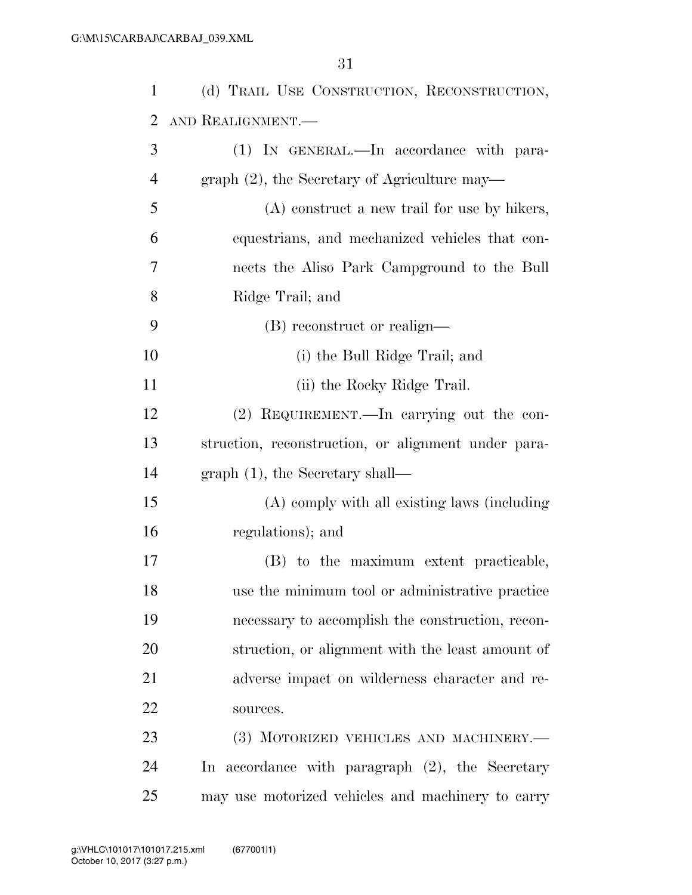| 1              | (d) TRAIL USE CONSTRUCTION, RECONSTRUCTION,         |
|----------------|-----------------------------------------------------|
| 2              | AND REALIGNMENT.                                    |
| 3              | (1) IN GENERAL.—In accordance with para-            |
| $\overline{4}$ | graph $(2)$ , the Secretary of Agriculture may—     |
| 5              | $(A)$ construct a new trail for use by hikers,      |
| 6              | equestrians, and mechanized vehicles that con-      |
| 7              | nects the Aliso Park Campground to the Bull         |
| 8              | Ridge Trail; and                                    |
| 9              | (B) reconstruct or realign—                         |
| 10             | (i) the Bull Ridge Trail; and                       |
| 11             | (ii) the Rocky Ridge Trail.                         |
| 12             | (2) REQUIREMENT.—In carrying out the con-           |
| 13             | struction, reconstruction, or alignment under para- |
| 14             | $graph(1)$ , the Secretary shall—                   |
| 15             | (A) comply with all existing laws (including        |
| 16             | regulations); and                                   |
| 17             | (B) to the maximum extent practicable,              |
| 18             | use the minimum tool or administrative practice     |
| 19             | necessary to accomplish the construction, recon-    |
| 20             | struction, or alignment with the least amount of    |
| 21             | adverse impact on wilderness character and re-      |
| 22             | sources.                                            |
| 23             | (3) MOTORIZED VEHICLES AND MACHINERY.-              |
| 24             | In accordance with paragraph (2), the Secretary     |
| 25             | may use motorized vehicles and machinery to carry   |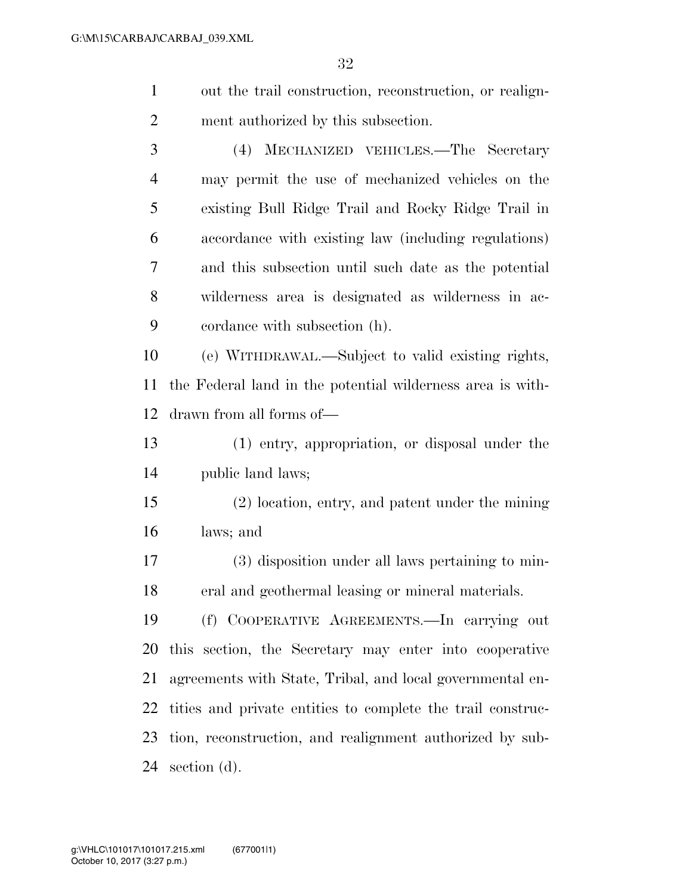out the trail construction, reconstruction, or realign-ment authorized by this subsection.

 (4) MECHANIZED VEHICLES.—The Secretary may permit the use of mechanized vehicles on the existing Bull Ridge Trail and Rocky Ridge Trail in accordance with existing law (including regulations) and this subsection until such date as the potential wilderness area is designated as wilderness in ac-cordance with subsection (h).

 (e) WITHDRAWAL.—Subject to valid existing rights, the Federal land in the potential wilderness area is with-drawn from all forms of—

 (1) entry, appropriation, or disposal under the public land laws;

 (2) location, entry, and patent under the mining laws; and

 (3) disposition under all laws pertaining to min-eral and geothermal leasing or mineral materials.

 (f) COOPERATIVE AGREEMENTS.—In carrying out this section, the Secretary may enter into cooperative agreements with State, Tribal, and local governmental en- tities and private entities to complete the trail construc- tion, reconstruction, and realignment authorized by sub-section (d).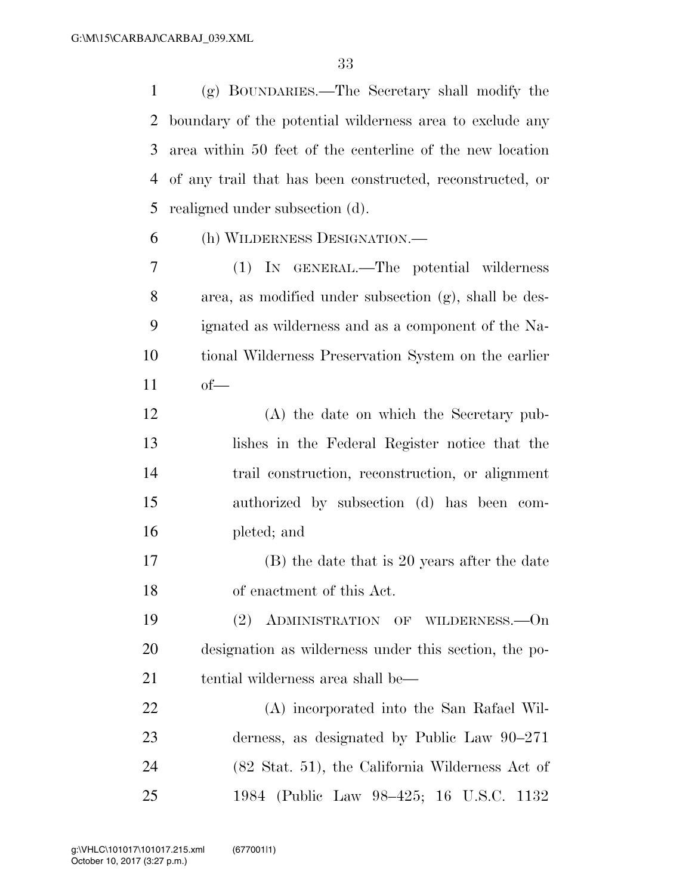(g) BOUNDARIES.—The Secretary shall modify the boundary of the potential wilderness area to exclude any area within 50 feet of the centerline of the new location of any trail that has been constructed, reconstructed, or realigned under subsection (d).

(h) WILDERNESS DESIGNATION.—

 (1) IN GENERAL.—The potential wilderness area, as modified under subsection (g), shall be des- ignated as wilderness and as a component of the Na- tional Wilderness Preservation System on the earlier of—

- (A) the date on which the Secretary pub- lishes in the Federal Register notice that the trail construction, reconstruction, or alignment authorized by subsection (d) has been com-pleted; and
- (B) the date that is 20 years after the date of enactment of this Act.

 (2) ADMINISTRATION OF WILDERNESS.—On designation as wilderness under this section, the po-tential wilderness area shall be—

 (A) incorporated into the San Rafael Wil- derness, as designated by Public Law 90–271 (82 Stat. 51), the California Wilderness Act of 1984 (Public Law 98–425; 16 U.S.C. 1132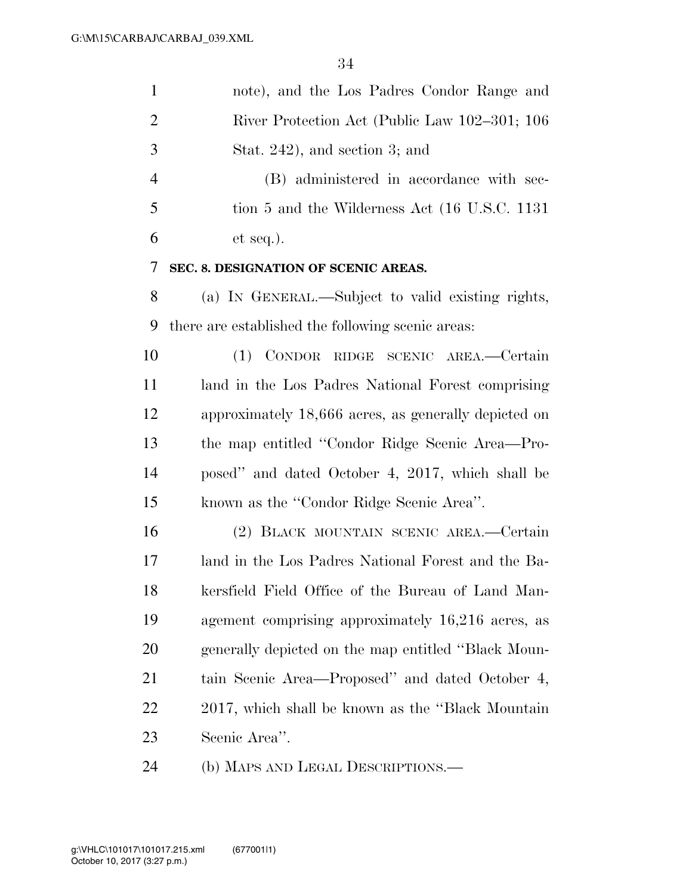| $\mathbf{1}$    | note), and the Los Padres Condor Range and                                                   |
|-----------------|----------------------------------------------------------------------------------------------|
| $\overline{2}$  | River Protection Act (Public Law 102–301; 106                                                |
| 3               | Stat. 242), and section 3; and                                                               |
| $\overline{4}$  | (B) administered in accordance with sec-                                                     |
| 5               | tion 5 and the Wilderness Act (16 U.S.C. 1131)                                               |
| 6               | et seq.).                                                                                    |
| 7               | SEC. 8. DESIGNATION OF SCENIC AREAS.                                                         |
| 8               | (a) IN GENERAL.—Subject to valid existing rights,                                            |
| 9               | there are established the following scenic areas:                                            |
| 10              | (1) CONDOR RIDGE SCENIC AREA.—Certain                                                        |
| 11              | land in the Los Padres National Forest comprising                                            |
| 12              | approximately 18,666 acres, as generally depicted on                                         |
| 13              | the map entitled "Condor Ridge Scenic Area-Pro-                                              |
| 14              | posed" and dated October 4, 2017, which shall be                                             |
| 15              | known as the "Condor Ridge Scenic Area".                                                     |
| 16              | (2) BLACK MOUNTAIN SCENIC AREA.—Certain                                                      |
| 17              | land in the Los Padres National Forest and the Ba-                                           |
| 18              | kersfield Field Office of the Bureau of Land Man-                                            |
| 19              | agement comprising approximately 16,216 acres, as                                            |
| 20              | generally depicted on the map entitled "Black Moun-                                          |
| 21              | tain Scenic Area—Proposed" and dated October 4,                                              |
| 22              | 2017, which shall be known as the "Black Mountain"                                           |
| 23              | Scenic Area".                                                                                |
| $\mathcal{L}$ 1 | $\Lambda$ ) M <sub>t</sub> pe $\Lambda$ <sub>ID</sub> I pe $\Lambda$ <sub>I</sub> Deceptions |

(b) MAPS AND LEGAL DESCRIPTIONS.—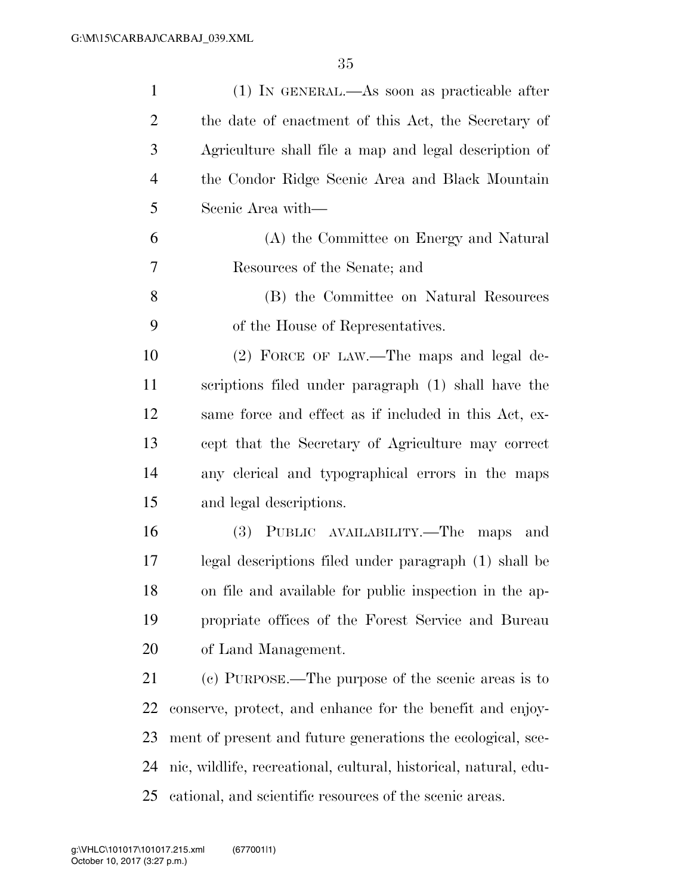| $\mathbf{1}$   | $(1)$ In GENERAL.—As soon as practicable after                   |
|----------------|------------------------------------------------------------------|
| $\overline{2}$ | the date of enactment of this Act, the Secretary of              |
| 3              | Agriculture shall file a map and legal description of            |
| $\overline{4}$ | the Condor Ridge Scenic Area and Black Mountain                  |
| 5              | Scenic Area with-                                                |
| 6              | (A) the Committee on Energy and Natural                          |
| 7              | Resources of the Senate; and                                     |
| 8              | (B) the Committee on Natural Resources                           |
| 9              | of the House of Representatives.                                 |
| 10             | (2) FORCE OF LAW.—The maps and legal de-                         |
| 11             | scriptions filed under paragraph (1) shall have the              |
| 12             | same force and effect as if included in this Act, ex-            |
| 13             | cept that the Secretary of Agriculture may correct               |
| 14             | any clerical and typographical errors in the maps                |
| 15             | and legal descriptions.                                          |
| 16             | (3) PUBLIC AVAILABILITY.—The<br>maps and                         |
| 17             | legal descriptions filed under paragraph (1) shall be            |
| 18             | on file and available for public inspection in the ap-           |
| 19             | propriate offices of the Forest Service and Bureau               |
| 20             | of Land Management.                                              |
| 21             | (c) PURPOSE.—The purpose of the scenic areas is to               |
| 22             | conserve, protect, and enhance for the benefit and enjoy-        |
| 23             | ment of present and future generations the ecological, sce-      |
| 24             | nic, wildlife, recreational, cultural, historical, natural, edu- |
| 25             | cational, and scientific resources of the scenic areas.          |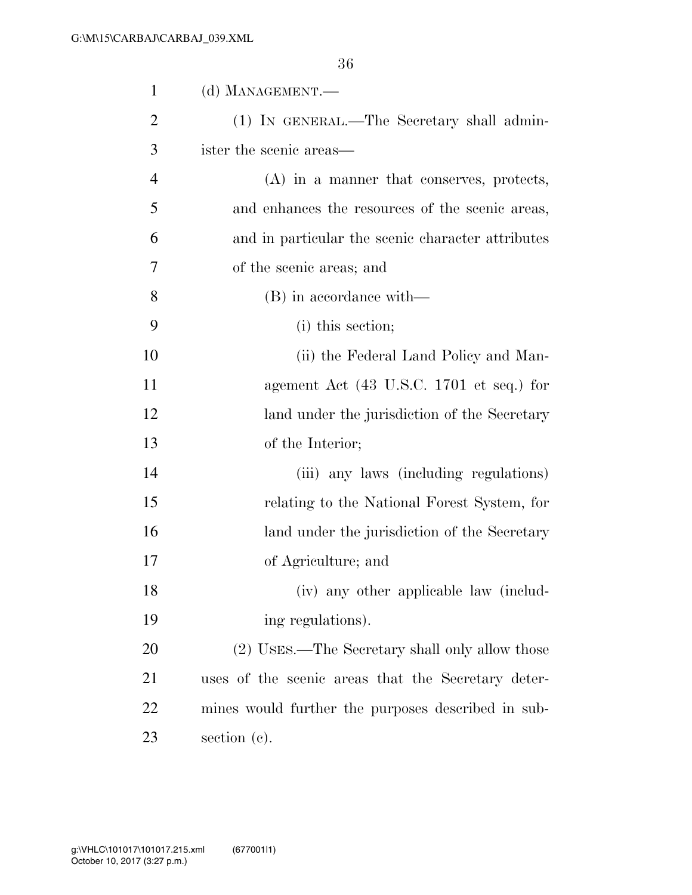| $\mathbf{1}$   | (d) MANAGEMENT.—                                            |
|----------------|-------------------------------------------------------------|
| 2              | (1) IN GENERAL.—The Secretary shall admin-                  |
| 3              | ister the scenic areas—                                     |
| $\overline{4}$ | (A) in a manner that conserves, protects,                   |
| 5              | and enhances the resources of the scenic areas,             |
| 6              | and in particular the scenic character attributes           |
| 7              | of the scenic areas; and                                    |
| 8              | (B) in accordance with—                                     |
| 9              | (i) this section;                                           |
| 10             | (ii) the Federal Land Policy and Man-                       |
| 11             | agement Act $(43 \text{ U.S.C. } 1701 \text{ et seq.})$ for |
| 12             | land under the jurisdiction of the Secretary                |
| 13             | of the Interior;                                            |
| 14             | (iii) any laws (including regulations)                      |
| 15             | relating to the National Forest System, for                 |
| 16             | land under the jurisdiction of the Secretary                |
| 17             | of Agriculture; and                                         |
| 18             | (iv) any other applicable law (includ-                      |
| 19             | ing regulations).                                           |
| 20             | (2) USES.—The Secretary shall only allow those              |
| 21             | uses of the scenic areas that the Secretary deter-          |
| 22             | mines would further the purposes described in sub-          |
| 23             | section $(c)$ .                                             |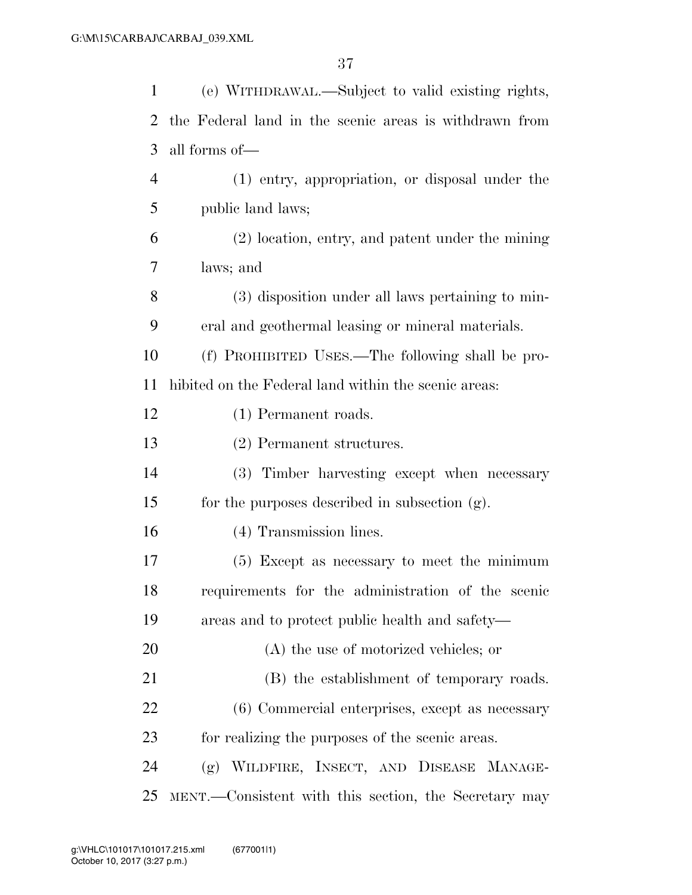| $\mathbf{1}$ | (e) WITHDRAWAL.—Subject to valid existing rights,      |
|--------------|--------------------------------------------------------|
| 2            | the Federal land in the scenic areas is withdrawn from |
| 3            | all forms of—                                          |
| 4            | (1) entry, appropriation, or disposal under the        |
| 5            | public land laws;                                      |
| 6            | (2) location, entry, and patent under the mining       |
| 7            | laws; and                                              |
| 8            | (3) disposition under all laws pertaining to min-      |
| 9            | eral and geothermal leasing or mineral materials.      |
| 10           | (f) PROHIBITED USES.—The following shall be pro-       |
| 11           | hibited on the Federal land within the scenic areas:   |
| 12           | (1) Permanent roads.                                   |
| 13           | (2) Permanent structures.                              |
| 14           | (3) Timber harvesting except when necessary            |
| 15           | for the purposes described in subsection (g).          |
| 16           | (4) Transmission lines.                                |
| 17           | (5) Except as necessary to meet the minimum            |
| 18           | requirements for the administration of the scenic      |
| 19           | areas and to protect public health and safety—         |
| 20           | $(A)$ the use of motorized vehicles; or                |
| 21           | (B) the establishment of temporary roads.              |
| 22           | (6) Commercial enterprises, except as necessary        |
| 23           | for realizing the purposes of the scenic areas.        |
| 24           | (g) WILDFIRE, INSECT, AND DISEASE MANAGE-              |
| 25           | MENT.—Consistent with this section, the Secretary may  |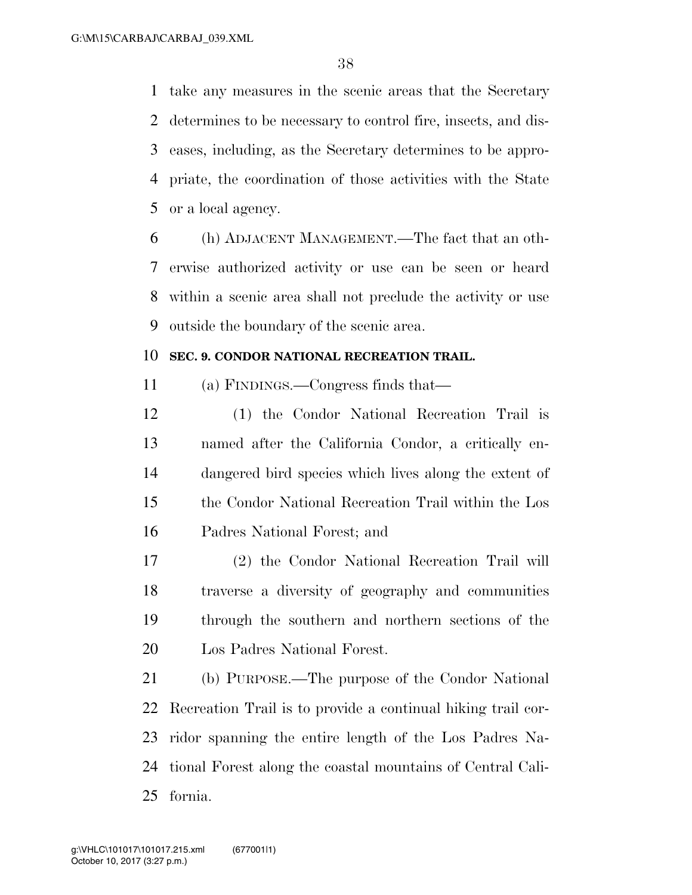take any measures in the scenic areas that the Secretary determines to be necessary to control fire, insects, and dis- eases, including, as the Secretary determines to be appro- priate, the coordination of those activities with the State or a local agency.

 (h) ADJACENT MANAGEMENT.—The fact that an oth- erwise authorized activity or use can be seen or heard within a scenic area shall not preclude the activity or use outside the boundary of the scenic area.

### **SEC. 9. CONDOR NATIONAL RECREATION TRAIL.**

(a) FINDINGS.—Congress finds that—

 (1) the Condor National Recreation Trail is named after the California Condor, a critically en- dangered bird species which lives along the extent of the Condor National Recreation Trail within the Los Padres National Forest; and

 (2) the Condor National Recreation Trail will traverse a diversity of geography and communities through the southern and northern sections of the Los Padres National Forest.

 (b) PURPOSE.—The purpose of the Condor National Recreation Trail is to provide a continual hiking trail cor- ridor spanning the entire length of the Los Padres Na- tional Forest along the coastal mountains of Central Cali-fornia.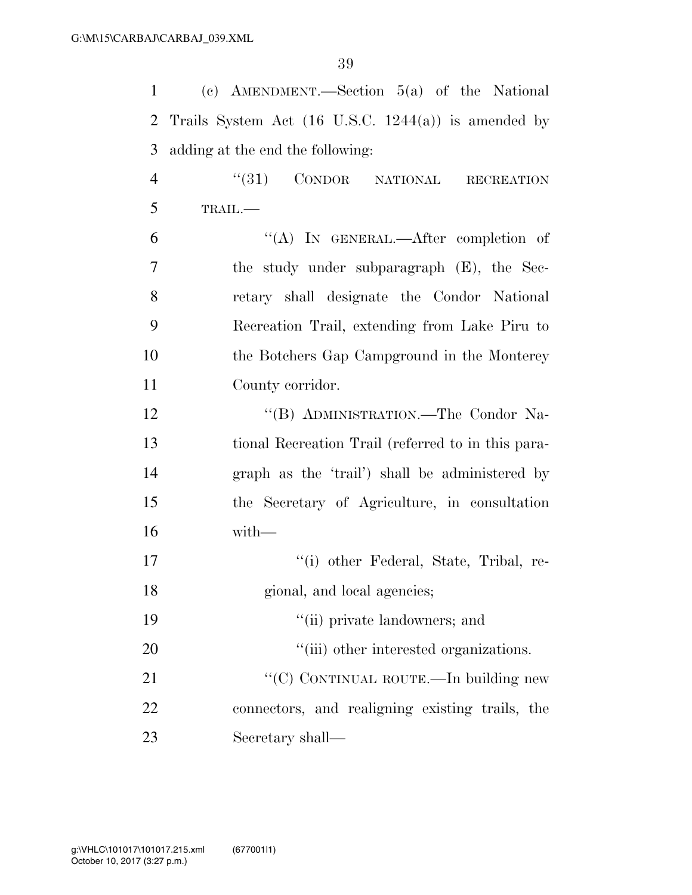| $\mathbf{1}$   | (c) AMENDMENT.—Section $5(a)$ of the National                  |
|----------------|----------------------------------------------------------------|
| 2              | Trails System Act $(16 \text{ U.S.C. } 1244(a))$ is amended by |
| 3              | adding at the end the following:                               |
| $\overline{4}$ | $``(31)$ CONDOR NATIONAL<br><b>RECREATION</b>                  |
| 5              | TRAIL.-                                                        |
| 6              | "(A) IN GENERAL.—After completion of                           |
| 7              | the study under subparagraph (E), the Sec-                     |
| 8              | retary shall designate the Condor National                     |
| 9              | Recreation Trail, extending from Lake Piru to                  |
| 10             | the Botchers Gap Campground in the Monterey                    |
| 11             | County corridor.                                               |
| 12             | "(B) ADMINISTRATION.—The Condor Na-                            |
| 13             | tional Recreation Trail (referred to in this para-             |
| 14             | graph as the 'trail') shall be administered by                 |
| 15             | the Secretary of Agriculture, in consultation                  |
| 16             | with-                                                          |
| 17             | "(i) other Federal, State, Tribal, re-                         |
| 18             | gional, and local agencies;                                    |
| 19             | "(ii) private landowners; and                                  |
| 20             | "(iii) other interested organizations.                         |
| 21             | "(C) CONTINUAL ROUTE.—In building new                          |
| 22             | connectors, and realigning existing trails, the                |
| 23             | Secretary shall—                                               |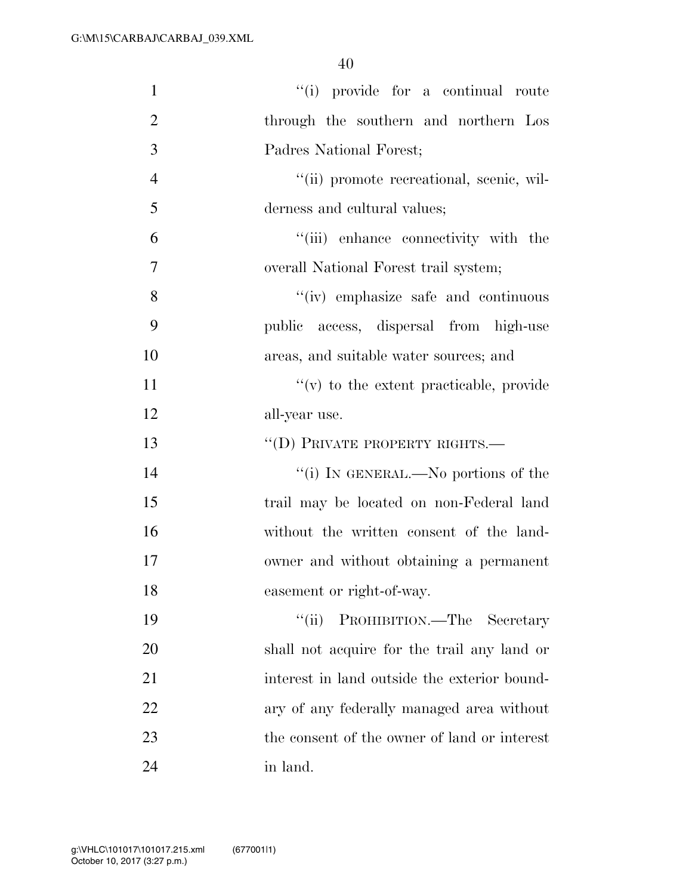| $\mathbf{1}$   | "(i) provide for a continual route           |
|----------------|----------------------------------------------|
| $\overline{2}$ | through the southern and northern Los        |
| 3              | Padres National Forest;                      |
| $\overline{4}$ | "(ii) promote recreational, scenic, wil-     |
| 5              | derness and cultural values;                 |
| 6              | "(iii) enhance connectivity with the         |
| $\tau$         | overall National Forest trail system;        |
| 8              | "(iv) emphasize safe and continuous          |
| 9              | public access, dispersal from high-use       |
| 10             | areas, and suitable water sources; and       |
| 11             | $f'(v)$ to the extent practicable, provide   |
| 12             | all-year use.                                |
| 13             | $``$ (D) PRIVATE PROPERTY RIGHTS.—           |
| 14             | "(i) IN GENERAL.—No portions of the          |
| 15             | trail may be located on non-Federal land     |
| 16             | without the written consent of the land-     |
| 17             | owner and without obtaining a permanent      |
| 18             | easement or right-of-way.                    |
| 19             | PROHIBITION.—The Secretary<br>``(ii)         |
| 20             | shall not acquire for the trail any land or  |
| 21             | interest in land outside the exterior bound- |
| 22             | ary of any federally managed area without    |
| 23             | the consent of the owner of land or interest |
|                |                                              |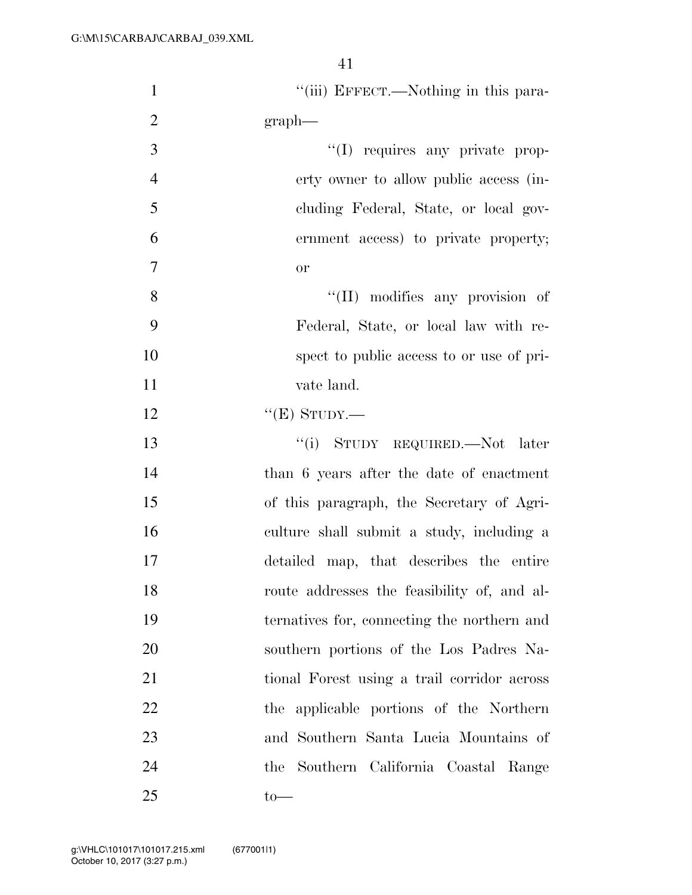| $\mathbf{1}$   | "(iii) EFFECT.—Nothing in this para-        |
|----------------|---------------------------------------------|
| $\overline{2}$ | $graph$ —                                   |
| 3              | "(I) requires any private prop-             |
| $\overline{4}$ | erty owner to allow public access (in-      |
| 5              | cluding Federal, State, or local gov-       |
| 6              | ernment access) to private property;        |
| $\overline{7}$ | <b>or</b>                                   |
| 8              | "(II) modifies any provision of             |
| 9              | Federal, State, or local law with re-       |
| 10             | spect to public access to or use of pri-    |
| 11             | vate land.                                  |
| 12             | " $(E)$ STUDY.—                             |
| 13             | "(i) STUDY REQUIRED.—Not later              |
| 14             | than 6 years after the date of enactment    |
| 15             | of this paragraph, the Secretary of Agri-   |
| 16             | culture shall submit a study, including a   |
| 17             | detailed map, that describes the entire     |
| 18             | route addresses the feasibility of, and al- |
| 19             | ternatives for, connecting the northern and |
| 20             | southern portions of the Los Padres Na-     |
| 21             | tional Forest using a trail corridor across |
| 22             | the applicable portions of the Northern     |
| 23             | and Southern Santa Lucia Mountains of       |
| 24             | the Southern California Coastal Range       |
| 25             | $to-$                                       |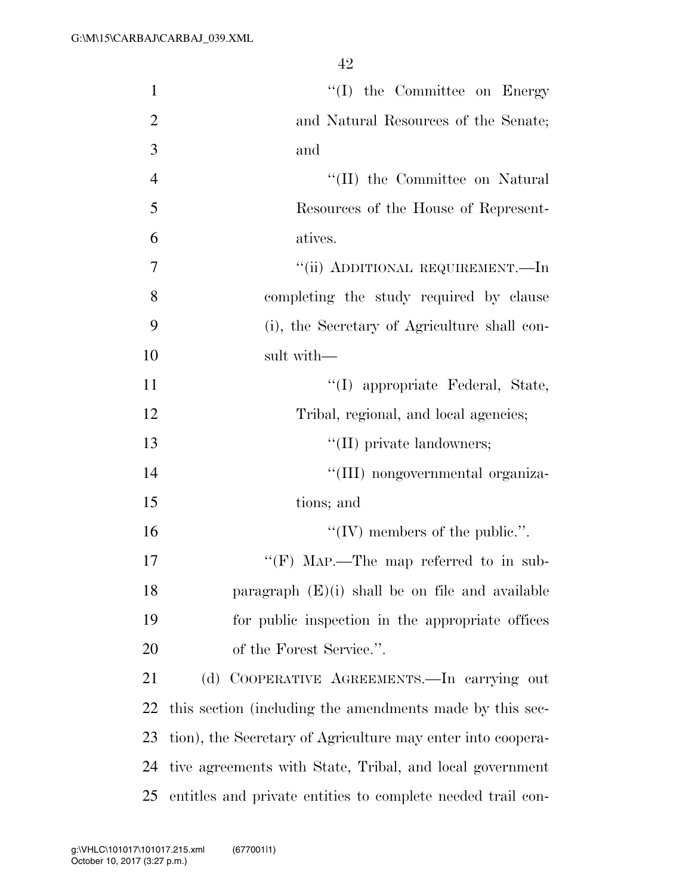| $\mathbf{1}$   | $\lq\lq$ (I) the Committee on Energy                        |
|----------------|-------------------------------------------------------------|
| $\overline{2}$ | and Natural Resources of the Senate;                        |
| 3              | and                                                         |
| $\overline{4}$ | "(II) the Committee on Natural                              |
| 5              | Resources of the House of Represent-                        |
| 6              | atives.                                                     |
| 7              | "(ii) ADDITIONAL REQUIREMENT.—In                            |
| 8              | completing the study required by clause                     |
| 9              | (i), the Secretary of Agriculture shall con-                |
| 10             | sult with-                                                  |
| 11             | "(I) appropriate Federal, State,                            |
| 12             | Tribal, regional, and local agencies;                       |
| 13             | "(II) private landowners;                                   |
| 14             | "(III) nongovernmental organiza-                            |
| 15             | tions; and                                                  |
| 16             | "(IV) members of the public.".                              |
| 17             | "(F) MAP.—The map referred to in sub-                       |
| 18             | paragraph $(E)(i)$ shall be on file and available           |
| 19             | for public inspection in the appropriate offices            |
| 20             | of the Forest Service.".                                    |
| 21             | (d) COOPERATIVE AGREEMENTS.—In carrying out                 |
| 22             | this section (including the amendments made by this sec-    |
| 23             | tion), the Secretary of Agriculture may enter into coopera- |
| 24             | tive agreements with State, Tribal, and local government    |
| 25             | entitles and private entities to complete needed trail con- |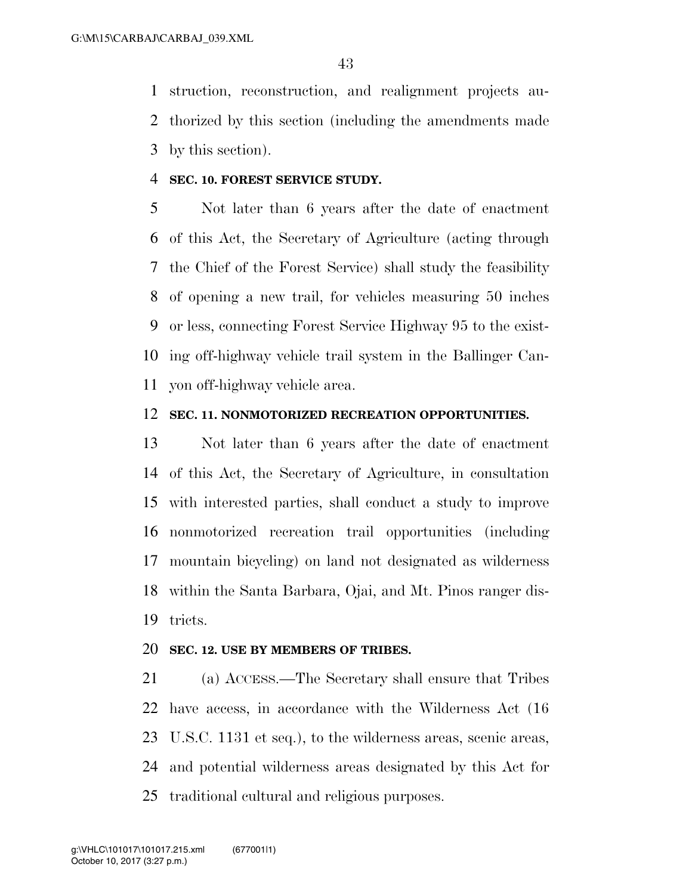struction, reconstruction, and realignment projects au- thorized by this section (including the amendments made by this section).

### **SEC. 10. FOREST SERVICE STUDY.**

 Not later than 6 years after the date of enactment of this Act, the Secretary of Agriculture (acting through the Chief of the Forest Service) shall study the feasibility of opening a new trail, for vehicles measuring 50 inches or less, connecting Forest Service Highway 95 to the exist- ing off-highway vehicle trail system in the Ballinger Can-yon off-highway vehicle area.

### **SEC. 11. NONMOTORIZED RECREATION OPPORTUNITIES.**

 Not later than 6 years after the date of enactment of this Act, the Secretary of Agriculture, in consultation with interested parties, shall conduct a study to improve nonmotorized recreation trail opportunities (including mountain bicycling) on land not designated as wilderness within the Santa Barbara, Ojai, and Mt. Pinos ranger dis-tricts.

#### **SEC. 12. USE BY MEMBERS OF TRIBES.**

 (a) ACCESS.—The Secretary shall ensure that Tribes have access, in accordance with the Wilderness Act (16 U.S.C. 1131 et seq.), to the wilderness areas, scenic areas, and potential wilderness areas designated by this Act for traditional cultural and religious purposes.